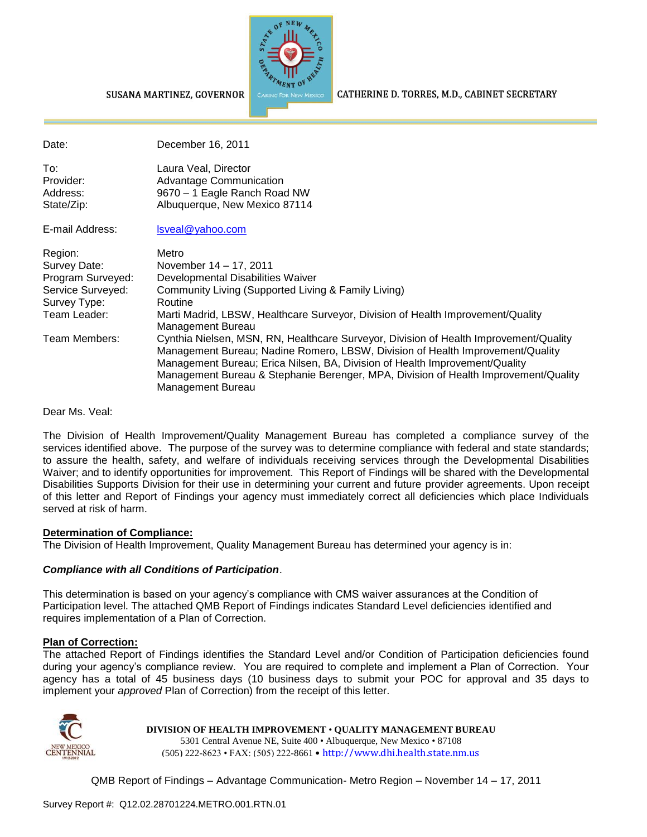

CATHERINE D. TORRES, M.D., CABINET SECRETARY

| Date:                                                                                             | December 16, 2011                                                                                                                                                                                                                                                                                                                                                  |
|---------------------------------------------------------------------------------------------------|--------------------------------------------------------------------------------------------------------------------------------------------------------------------------------------------------------------------------------------------------------------------------------------------------------------------------------------------------------------------|
| To:<br>Provider:<br>Address:<br>State/Zip:                                                        | Laura Veal, Director<br>Advantage Communication<br>9670 - 1 Eagle Ranch Road NW<br>Albuquerque, New Mexico 87114                                                                                                                                                                                                                                                   |
| E-mail Address:                                                                                   | Isveal@yahoo.com                                                                                                                                                                                                                                                                                                                                                   |
| Region:<br>Survey Date:<br>Program Surveyed:<br>Service Surveyed:<br>Survey Type:<br>Team Leader: | Metro<br>November 14 – 17, 2011<br>Developmental Disabilities Waiver<br>Community Living (Supported Living & Family Living)<br>Routine<br>Marti Madrid, LBSW, Healthcare Surveyor, Division of Health Improvement/Quality<br>Management Bureau                                                                                                                     |
| Team Members:                                                                                     | Cynthia Nielsen, MSN, RN, Healthcare Surveyor, Division of Health Improvement/Quality<br>Management Bureau; Nadine Romero, LBSW, Division of Health Improvement/Quality<br>Management Bureau; Erica Nilsen, BA, Division of Health Improvement/Quality<br>Management Bureau & Stephanie Berenger, MPA, Division of Health Improvement/Quality<br>Management Bureau |

Dear Ms. Veal:

The Division of Health Improvement/Quality Management Bureau has completed a compliance survey of the services identified above. The purpose of the survey was to determine compliance with federal and state standards; to assure the health, safety, and welfare of individuals receiving services through the Developmental Disabilities Waiver; and to identify opportunities for improvement. This Report of Findings will be shared with the Developmental Disabilities Supports Division for their use in determining your current and future provider agreements. Upon receipt of this letter and Report of Findings your agency must immediately correct all deficiencies which place Individuals served at risk of harm.

#### **Determination of Compliance:**

The Division of Health Improvement, Quality Management Bureau has determined your agency is in:

#### *Compliance with all Conditions of Participation*.

SUSANA MARTINEZ, GOVERNOR

This determination is based on your agency's compliance with CMS waiver assurances at the Condition of Participation level. The attached QMB Report of Findings indicates Standard Level deficiencies identified and requires implementation of a Plan of Correction.

#### **Plan of Correction:**

The attached Report of Findings identifies the Standard Level and/or Condition of Participation deficiencies found during your agency's compliance review. You are required to complete and implement a Plan of Correction. Your agency has a total of 45 business days (10 business days to submit your POC for approval and 35 days to implement your *approved* Plan of Correction) from the receipt of this letter.



**DIVISION OF HEALTH IMPROVEMENT** • **QUALITY MANAGEMENT BUREAU**

5301 Central Avenue NE, Suite 400 • Albuquerque, New Mexico • 87108 (505) 222-8623 • FAX: (505) 222-8661 • http://www.dhi.health.state.nm.us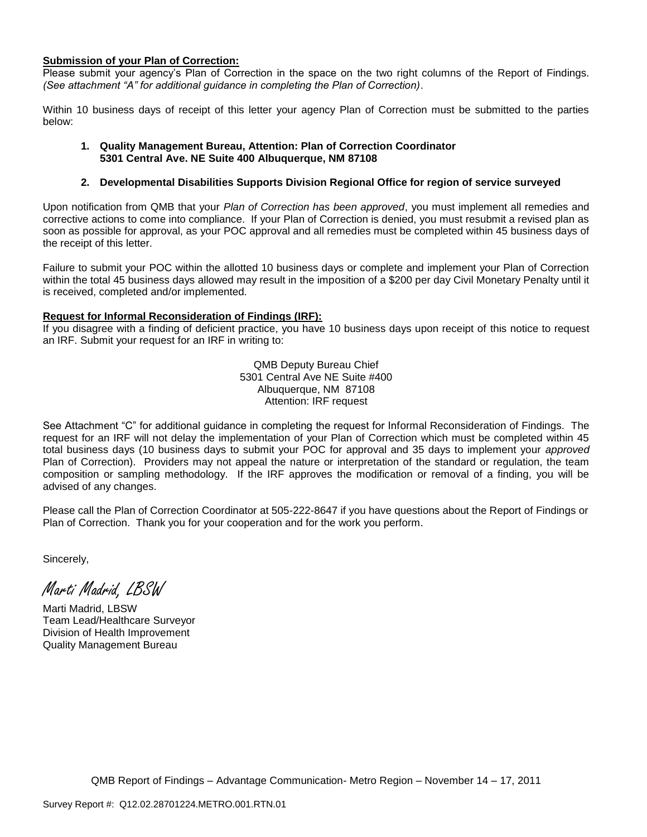#### **Submission of your Plan of Correction:**

Please submit your agency's Plan of Correction in the space on the two right columns of the Report of Findings. *(See attachment "A" for additional guidance in completing the Plan of Correction)*.

Within 10 business days of receipt of this letter your agency Plan of Correction must be submitted to the parties below:

#### **1. Quality Management Bureau, Attention: Plan of Correction Coordinator 5301 Central Ave. NE Suite 400 Albuquerque, NM 87108**

#### **2. Developmental Disabilities Supports Division Regional Office for region of service surveyed**

Upon notification from QMB that your *Plan of Correction has been approved*, you must implement all remedies and corrective actions to come into compliance. If your Plan of Correction is denied, you must resubmit a revised plan as soon as possible for approval, as your POC approval and all remedies must be completed within 45 business days of the receipt of this letter.

Failure to submit your POC within the allotted 10 business days or complete and implement your Plan of Correction within the total 45 business days allowed may result in the imposition of a \$200 per day Civil Monetary Penalty until it is received, completed and/or implemented.

#### **Request for Informal Reconsideration of Findings (IRF):**

If you disagree with a finding of deficient practice, you have 10 business days upon receipt of this notice to request an IRF. Submit your request for an IRF in writing to:

> QMB Deputy Bureau Chief 5301 Central Ave NE Suite #400 Albuquerque, NM 87108 Attention: IRF request

See Attachment "C" for additional guidance in completing the request for Informal Reconsideration of Findings. The request for an IRF will not delay the implementation of your Plan of Correction which must be completed within 45 total business days (10 business days to submit your POC for approval and 35 days to implement your *approved* Plan of Correction). Providers may not appeal the nature or interpretation of the standard or regulation, the team composition or sampling methodology. If the IRF approves the modification or removal of a finding, you will be advised of any changes.

Please call the Plan of Correction Coordinator at 505-222-8647 if you have questions about the Report of Findings or Plan of Correction. Thank you for your cooperation and for the work you perform.

Sincerely,

Marti Madrid, LBSW

Marti Madrid, LBSW Team Lead/Healthcare Surveyor Division of Health Improvement Quality Management Bureau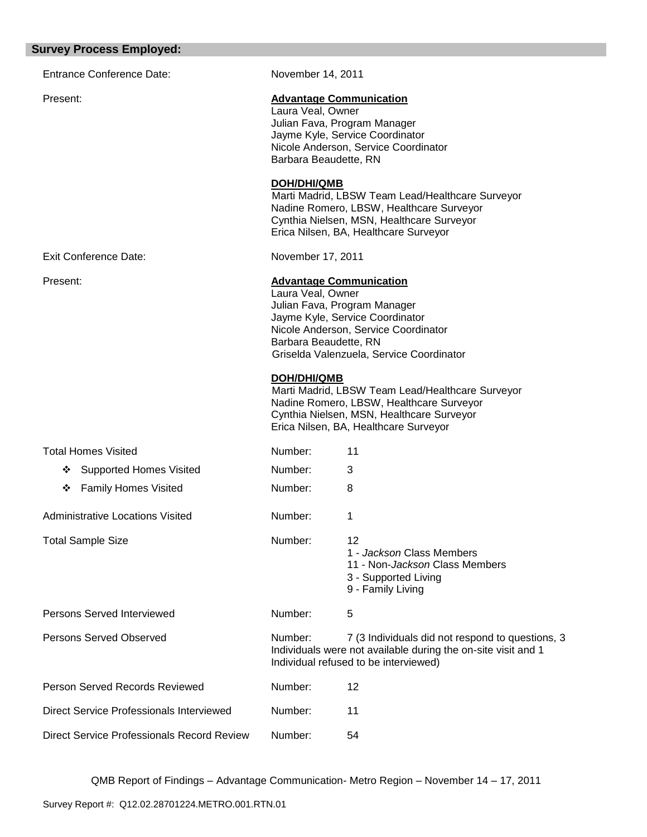#### **Survey Process Employed:**

| <b>Survey Process Employed:</b>                 |                                            |                                                                                                                                                                                       |
|-------------------------------------------------|--------------------------------------------|---------------------------------------------------------------------------------------------------------------------------------------------------------------------------------------|
| <b>Entrance Conference Date:</b>                | November 14, 2011                          |                                                                                                                                                                                       |
| Present:                                        | Laura Veal, Owner<br>Barbara Beaudette, RN | <b>Advantage Communication</b><br>Julian Fava, Program Manager<br>Jayme Kyle, Service Coordinator<br>Nicole Anderson, Service Coordinator                                             |
|                                                 | <b>DOH/DHI/QMB</b>                         | Marti Madrid, LBSW Team Lead/Healthcare Surveyor<br>Nadine Romero, LBSW, Healthcare Surveyor<br>Cynthia Nielsen, MSN, Healthcare Surveyor<br>Erica Nilsen, BA, Healthcare Surveyor    |
| <b>Exit Conference Date:</b>                    | November 17, 2011                          |                                                                                                                                                                                       |
| Present:                                        | Laura Veal, Owner<br>Barbara Beaudette, RN | <b>Advantage Communication</b><br>Julian Fava, Program Manager<br>Jayme Kyle, Service Coordinator<br>Nicole Anderson, Service Coordinator<br>Griselda Valenzuela, Service Coordinator |
|                                                 | <b>DOH/DHI/QMB</b>                         | Marti Madrid, LBSW Team Lead/Healthcare Surveyor<br>Nadine Romero, LBSW, Healthcare Surveyor<br>Cynthia Nielsen, MSN, Healthcare Surveyor<br>Erica Nilsen, BA, Healthcare Surveyor    |
| <b>Total Homes Visited</b>                      | Number:                                    | 11                                                                                                                                                                                    |
| <b>Supported Homes Visited</b><br>❖             | Number:                                    | 3                                                                                                                                                                                     |
| <b>Family Homes Visited</b><br>❖                | Number:                                    | 8                                                                                                                                                                                     |
| <b>Administrative Locations Visited</b>         | Number:                                    | 1                                                                                                                                                                                     |
| <b>Total Sample Size</b>                        | Number:                                    | 12<br>1 - Jackson Class Members<br>11 - Non-Jackson Class Members<br>3 - Supported Living<br>9 - Family Living                                                                        |
| Persons Served Interviewed                      | Number:                                    | 5                                                                                                                                                                                     |
| Persons Served Observed                         | Number:                                    | 7 (3 Individuals did not respond to questions, 3<br>Individuals were not available during the on-site visit and 1<br>Individual refused to be interviewed)                            |
| Person Served Records Reviewed                  | Number:                                    | 12                                                                                                                                                                                    |
| <b>Direct Service Professionals Interviewed</b> | Number:                                    | 11                                                                                                                                                                                    |
|                                                 |                                            |                                                                                                                                                                                       |

Direct Service Professionals Record Review Number: 54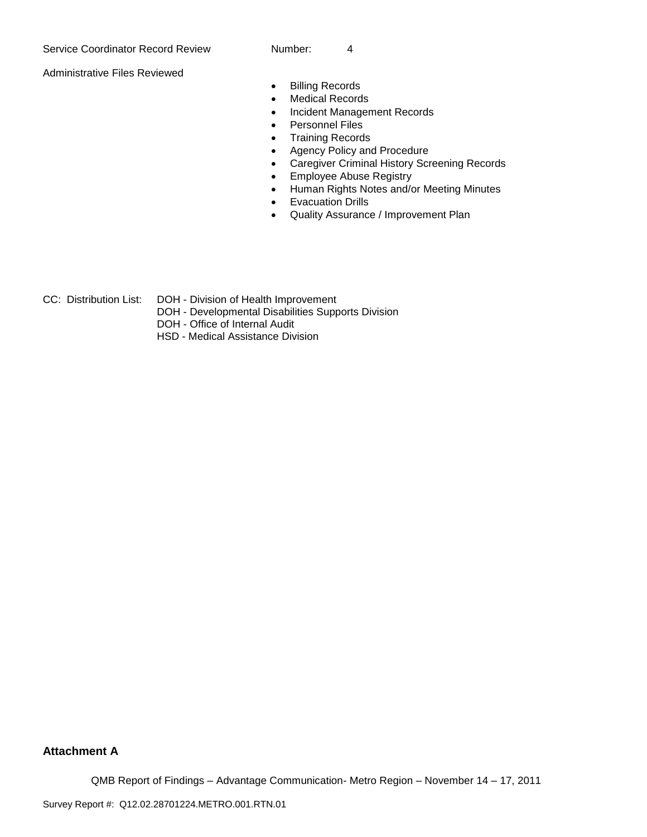Administrative Files Reviewed

- **•** Billing Records
- Medical Records
- Incident Management Records
- **•** Personnel Files
- Training Records
- Agency Policy and Procedure
- Caregiver Criminal History Screening Records
- **Employee Abuse Registry**
- Human Rights Notes and/or Meeting Minutes
- **•** Evacuation Drills
- Quality Assurance / Improvement Plan
- CC: Distribution List: DOH Division of Health Improvement
	- DOH Developmental Disabilities Supports Division
	- DOH Office of Internal Audit
	- HSD Medical Assistance Division

## **Attachment A**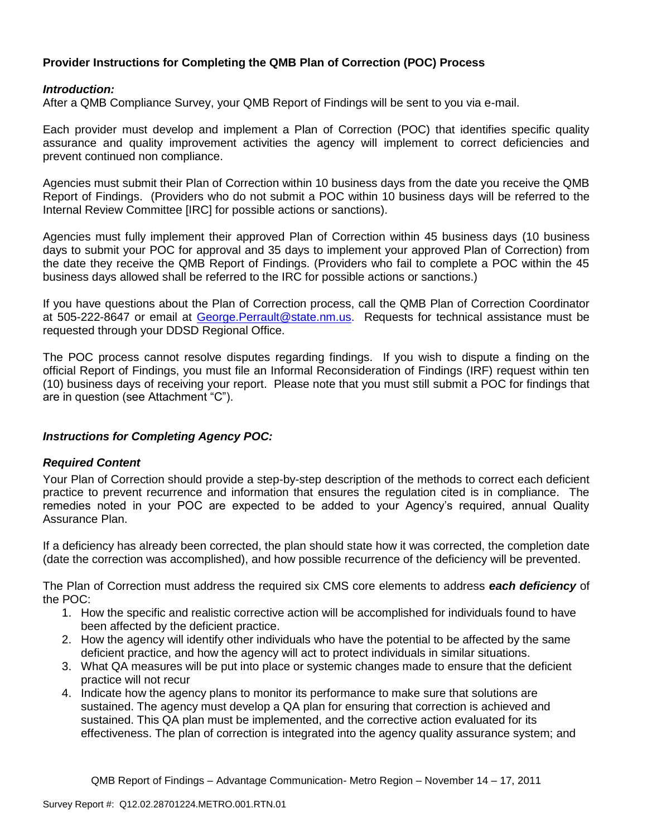# **Provider Instructions for Completing the QMB Plan of Correction (POC) Process**

### *Introduction:*

After a QMB Compliance Survey, your QMB Report of Findings will be sent to you via e-mail.

Each provider must develop and implement a Plan of Correction (POC) that identifies specific quality assurance and quality improvement activities the agency will implement to correct deficiencies and prevent continued non compliance.

Agencies must submit their Plan of Correction within 10 business days from the date you receive the QMB Report of Findings. (Providers who do not submit a POC within 10 business days will be referred to the Internal Review Committee [IRC] for possible actions or sanctions).

Agencies must fully implement their approved Plan of Correction within 45 business days (10 business days to submit your POC for approval and 35 days to implement your approved Plan of Correction) from the date they receive the QMB Report of Findings. (Providers who fail to complete a POC within the 45 business days allowed shall be referred to the IRC for possible actions or sanctions.)

If you have questions about the Plan of Correction process, call the QMB Plan of Correction Coordinator at 505-222-8647 or email at George.Perrault@state.nm.us. Requests for technical assistance must be requested through your DDSD Regional Office.

The POC process cannot resolve disputes regarding findings. If you wish to dispute a finding on the official Report of Findings, you must file an Informal Reconsideration of Findings (IRF) request within ten (10) business days of receiving your report. Please note that you must still submit a POC for findings that are in question (see Attachment "C").

## *Instructions for Completing Agency POC:*

#### *Required Content*

Your Plan of Correction should provide a step-by-step description of the methods to correct each deficient practice to prevent recurrence and information that ensures the regulation cited is in compliance. The remedies noted in your POC are expected to be added to your Agency's required, annual Quality Assurance Plan.

If a deficiency has already been corrected, the plan should state how it was corrected, the completion date (date the correction was accomplished), and how possible recurrence of the deficiency will be prevented.

The Plan of Correction must address the required six CMS core elements to address *each deficiency* of the POC:

- 1. How the specific and realistic corrective action will be accomplished for individuals found to have been affected by the deficient practice.
- 2. How the agency will identify other individuals who have the potential to be affected by the same deficient practice, and how the agency will act to protect individuals in similar situations.
- 3. What QA measures will be put into place or systemic changes made to ensure that the deficient practice will not recur
- 4. Indicate how the agency plans to monitor its performance to make sure that solutions are sustained. The agency must develop a QA plan for ensuring that correction is achieved and sustained. This QA plan must be implemented, and the corrective action evaluated for its effectiveness. The plan of correction is integrated into the agency quality assurance system; and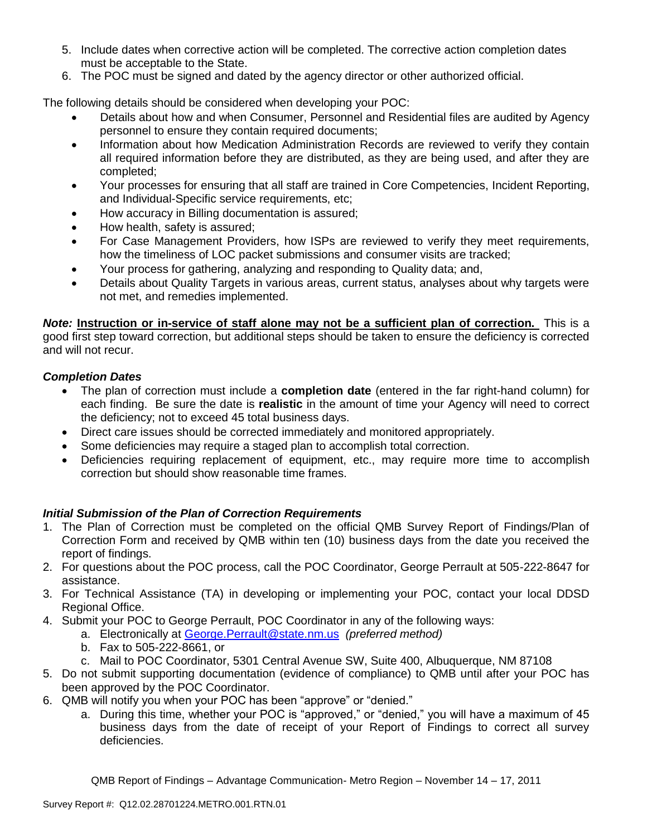- 5. Include dates when corrective action will be completed. The corrective action completion dates must be acceptable to the State.
- 6. The POC must be signed and dated by the agency director or other authorized official.

The following details should be considered when developing your POC:

- Details about how and when Consumer, Personnel and Residential files are audited by Agency personnel to ensure they contain required documents;
- Information about how Medication Administration Records are reviewed to verify they contain all required information before they are distributed, as they are being used, and after they are completed;
- Your processes for ensuring that all staff are trained in Core Competencies, Incident Reporting, and Individual-Specific service requirements, etc;
- How accuracy in Billing documentation is assured;
- How health, safety is assured;
- For Case Management Providers, how ISPs are reviewed to verify they meet requirements, how the timeliness of LOC packet submissions and consumer visits are tracked;
- Your process for gathering, analyzing and responding to Quality data; and,
- Details about Quality Targets in various areas, current status, analyses about why targets were not met, and remedies implemented.

*Note:* **Instruction or in-service of staff alone may not be a sufficient plan of correction.** This is a good first step toward correction, but additional steps should be taken to ensure the deficiency is corrected and will not recur.

## *Completion Dates*

- The plan of correction must include a **completion date** (entered in the far right-hand column) for each finding. Be sure the date is **realistic** in the amount of time your Agency will need to correct the deficiency; not to exceed 45 total business days.
- Direct care issues should be corrected immediately and monitored appropriately.
- Some deficiencies may require a staged plan to accomplish total correction.
- Deficiencies requiring replacement of equipment, etc., may require more time to accomplish correction but should show reasonable time frames.

## *Initial Submission of the Plan of Correction Requirements*

- 1. The Plan of Correction must be completed on the official QMB Survey Report of Findings/Plan of Correction Form and received by QMB within ten (10) business days from the date you received the report of findings.
- 2. For questions about the POC process, call the POC Coordinator, George Perrault at 505-222-8647 for assistance.
- 3. For Technical Assistance (TA) in developing or implementing your POC, contact your local DDSD Regional Office.
- 4. Submit your POC to George Perrault, POC Coordinator in any of the following ways:
	- a. Electronically at [George.Perrault@state.nm.us](mailto:George.Perrault@state.nm.us) *(preferred method)*
	- b. Fax to 505-222-8661, or
	- c. Mail to POC Coordinator, 5301 Central Avenue SW, Suite 400, Albuquerque, NM 87108
- 5. Do not submit supporting documentation (evidence of compliance) to QMB until after your POC has been approved by the POC Coordinator.
- 6. QMB will notify you when your POC has been "approve" or "denied."
	- a. During this time, whether your POC is "approved," or "denied," you will have a maximum of 45 business days from the date of receipt of your Report of Findings to correct all survey deficiencies.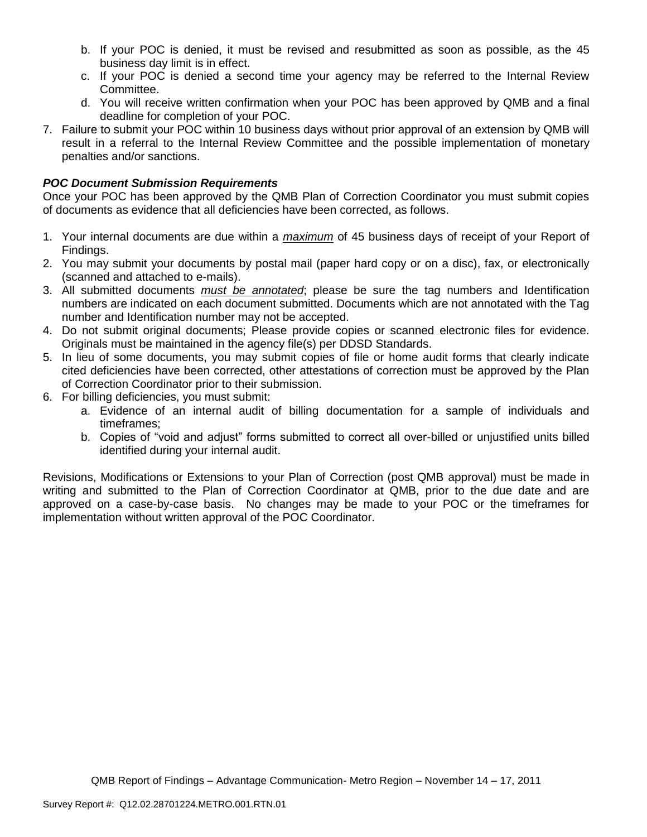- b. If your POC is denied, it must be revised and resubmitted as soon as possible, as the 45 business day limit is in effect.
- c. If your POC is denied a second time your agency may be referred to the Internal Review Committee.
- d. You will receive written confirmation when your POC has been approved by QMB and a final deadline for completion of your POC.
- 7. Failure to submit your POC within 10 business days without prior approval of an extension by QMB will result in a referral to the Internal Review Committee and the possible implementation of monetary penalties and/or sanctions.

## *POC Document Submission Requirements*

Once your POC has been approved by the QMB Plan of Correction Coordinator you must submit copies of documents as evidence that all deficiencies have been corrected, as follows.

- 1. Your internal documents are due within a *maximum* of 45 business days of receipt of your Report of Findings.
- 2. You may submit your documents by postal mail (paper hard copy or on a disc), fax, or electronically (scanned and attached to e-mails).
- 3. All submitted documents *must be annotated*; please be sure the tag numbers and Identification numbers are indicated on each document submitted. Documents which are not annotated with the Tag number and Identification number may not be accepted.
- 4. Do not submit original documents; Please provide copies or scanned electronic files for evidence. Originals must be maintained in the agency file(s) per DDSD Standards.
- 5. In lieu of some documents, you may submit copies of file or home audit forms that clearly indicate cited deficiencies have been corrected, other attestations of correction must be approved by the Plan of Correction Coordinator prior to their submission.
- 6. For billing deficiencies, you must submit:
	- a. Evidence of an internal audit of billing documentation for a sample of individuals and timeframes;
	- b. Copies of "void and adjust" forms submitted to correct all over-billed or unjustified units billed identified during your internal audit.

Revisions, Modifications or Extensions to your Plan of Correction (post QMB approval) must be made in writing and submitted to the Plan of Correction Coordinator at QMB, prior to the due date and are approved on a case-by-case basis. No changes may be made to your POC or the timeframes for implementation without written approval of the POC Coordinator.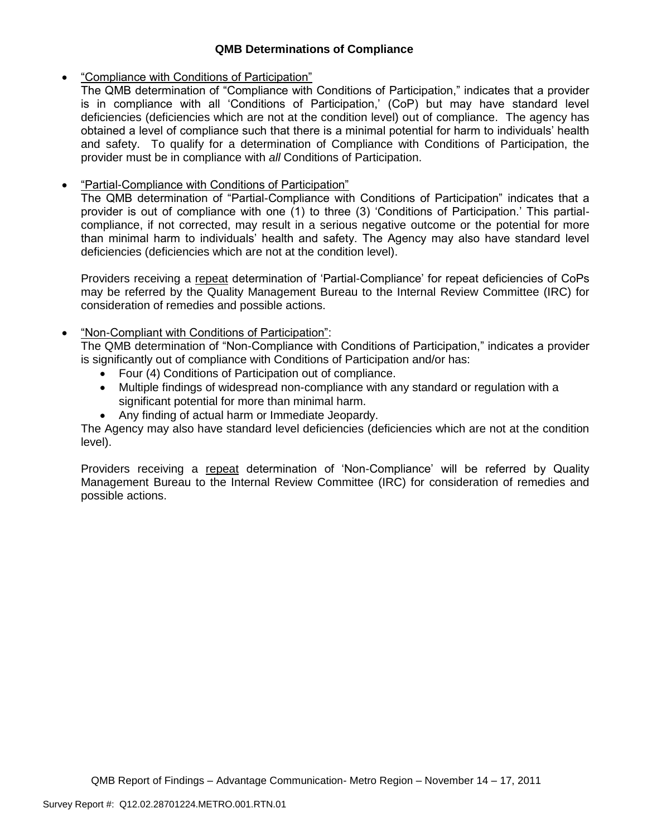# **QMB Determinations of Compliance**

# "Compliance with Conditions of Participation"

The QMB determination of "Compliance with Conditions of Participation," indicates that a provider is in compliance with all 'Conditions of Participation,' (CoP) but may have standard level deficiencies (deficiencies which are not at the condition level) out of compliance. The agency has obtained a level of compliance such that there is a minimal potential for harm to individuals' health and safety. To qualify for a determination of Compliance with Conditions of Participation, the provider must be in compliance with *all* Conditions of Participation.

# "Partial-Compliance with Conditions of Participation"

The QMB determination of "Partial-Compliance with Conditions of Participation" indicates that a provider is out of compliance with one (1) to three (3) 'Conditions of Participation.' This partialcompliance, if not corrected, may result in a serious negative outcome or the potential for more than minimal harm to individuals' health and safety. The Agency may also have standard level deficiencies (deficiencies which are not at the condition level).

Providers receiving a repeat determination of 'Partial-Compliance' for repeat deficiencies of CoPs may be referred by the Quality Management Bureau to the Internal Review Committee (IRC) for consideration of remedies and possible actions.

# "Non-Compliant with Conditions of Participation":

The QMB determination of "Non-Compliance with Conditions of Participation," indicates a provider is significantly out of compliance with Conditions of Participation and/or has:

- Four (4) Conditions of Participation out of compliance.
- Multiple findings of widespread non-compliance with any standard or regulation with a significant potential for more than minimal harm.
- Any finding of actual harm or Immediate Jeopardy.

The Agency may also have standard level deficiencies (deficiencies which are not at the condition level).

Providers receiving a repeat determination of 'Non-Compliance' will be referred by Quality Management Bureau to the Internal Review Committee (IRC) for consideration of remedies and possible actions.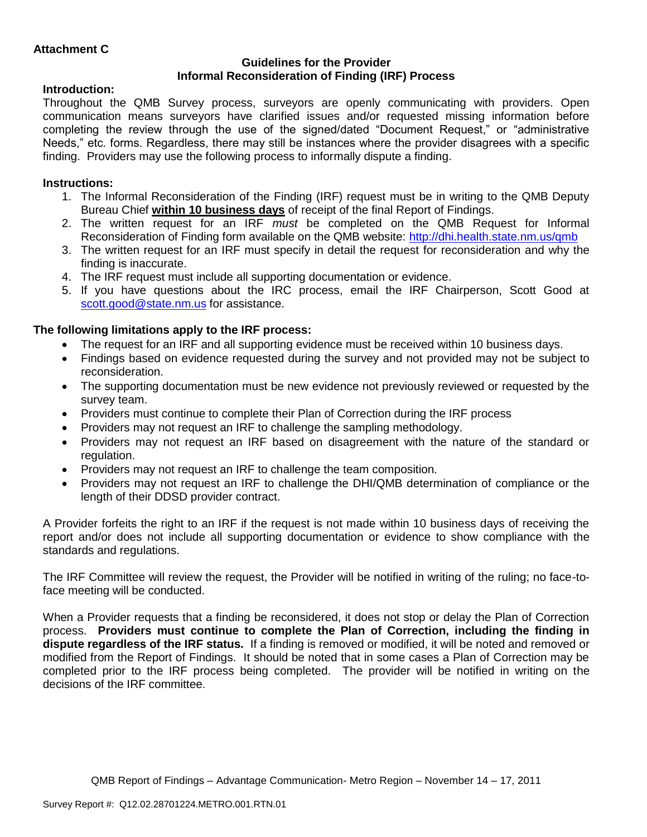### **Guidelines for the Provider Informal Reconsideration of Finding (IRF) Process**

# **Introduction:**

Throughout the QMB Survey process, surveyors are openly communicating with providers. Open communication means surveyors have clarified issues and/or requested missing information before completing the review through the use of the signed/dated "Document Request," or "administrative Needs," etc. forms. Regardless, there may still be instances where the provider disagrees with a specific finding. Providers may use the following process to informally dispute a finding.

# **Instructions:**

- 1. The Informal Reconsideration of the Finding (IRF) request must be in writing to the QMB Deputy Bureau Chief **within 10 business days** of receipt of the final Report of Findings.
- 2. The written request for an IRF *must* be completed on the QMB Request for Informal Reconsideration of Finding form available on the QMB website:<http://dhi.health.state.nm.us/qmb>
- 3. The written request for an IRF must specify in detail the request for reconsideration and why the finding is inaccurate.
- 4. The IRF request must include all supporting documentation or evidence.
- 5. If you have questions about the IRC process, email the IRF Chairperson, Scott Good at [scott.good@state.nm.us](mailto:scott.good@state.nm.us) for assistance.

# **The following limitations apply to the IRF process:**

- The request for an IRF and all supporting evidence must be received within 10 business days.
- Findings based on evidence requested during the survey and not provided may not be subject to reconsideration.
- The supporting documentation must be new evidence not previously reviewed or requested by the survey team.
- Providers must continue to complete their Plan of Correction during the IRF process
- Providers may not request an IRF to challenge the sampling methodology.
- Providers may not request an IRF based on disagreement with the nature of the standard or regulation.
- Providers may not request an IRF to challenge the team composition.
- Providers may not request an IRF to challenge the DHI/QMB determination of compliance or the length of their DDSD provider contract.

A Provider forfeits the right to an IRF if the request is not made within 10 business days of receiving the report and/or does not include all supporting documentation or evidence to show compliance with the standards and regulations.

The IRF Committee will review the request, the Provider will be notified in writing of the ruling; no face-toface meeting will be conducted.

When a Provider requests that a finding be reconsidered, it does not stop or delay the Plan of Correction process. **Providers must continue to complete the Plan of Correction, including the finding in dispute regardless of the IRF status.** If a finding is removed or modified, it will be noted and removed or modified from the Report of Findings. It should be noted that in some cases a Plan of Correction may be completed prior to the IRF process being completed. The provider will be notified in writing on the decisions of the IRF committee.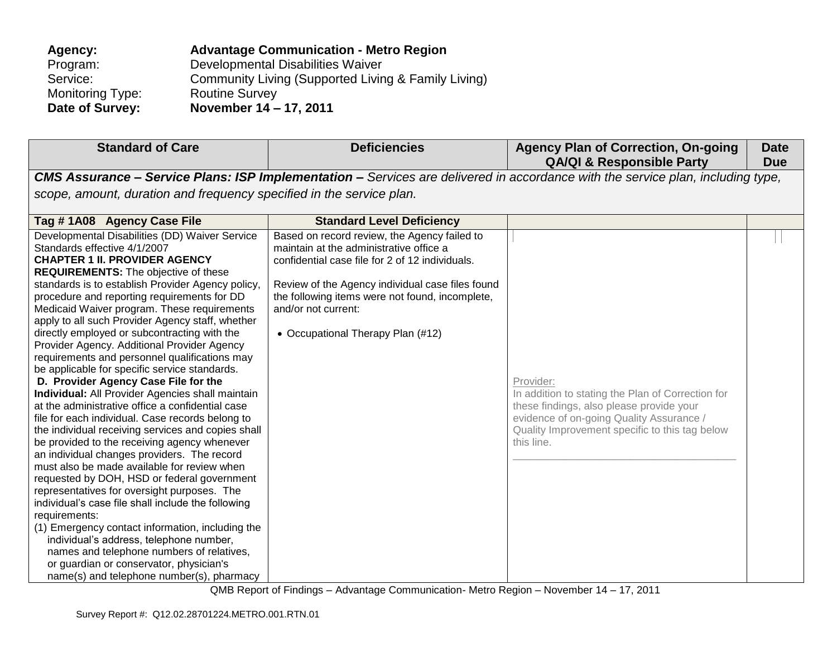| Agency:                 | <b>Advantage Communication - Metro Region</b>       |
|-------------------------|-----------------------------------------------------|
| Program:                | Developmental Disabilities Waiver                   |
| Service:                | Community Living (Supported Living & Family Living) |
| <b>Monitoring Type:</b> | <b>Routine Survey</b>                               |
| Date of Survey:         | November 14 - 17, 2011                              |

| <b>Standard of Care</b>                                              | <b>Deficiencies</b>                              | <b>Agency Plan of Correction, On-going</b><br><b>QA/QI &amp; Responsible Party</b>                                                                                                                                                                                                                                                                                                   | <b>Date</b><br><b>Due</b> |
|----------------------------------------------------------------------|--------------------------------------------------|--------------------------------------------------------------------------------------------------------------------------------------------------------------------------------------------------------------------------------------------------------------------------------------------------------------------------------------------------------------------------------------|---------------------------|
|                                                                      |                                                  | <b>CMS Assurance - Service Plans: ISP Implementation -</b> Services are delivered in accordance with the service plan, including type,                                                                                                                                                                                                                                               |                           |
| scope, amount, duration and frequency specified in the service plan. |                                                  |                                                                                                                                                                                                                                                                                                                                                                                      |                           |
|                                                                      |                                                  |                                                                                                                                                                                                                                                                                                                                                                                      |                           |
| Tag #1A08 Agency Case File                                           | <b>Standard Level Deficiency</b>                 |                                                                                                                                                                                                                                                                                                                                                                                      |                           |
| Developmental Disabilities (DD) Waiver Service                       | Based on record review, the Agency failed to     |                                                                                                                                                                                                                                                                                                                                                                                      |                           |
| Standards effective 4/1/2007                                         | maintain at the administrative office a          |                                                                                                                                                                                                                                                                                                                                                                                      |                           |
| <b>CHAPTER 1 II. PROVIDER AGENCY</b>                                 | confidential case file for 2 of 12 individuals.  |                                                                                                                                                                                                                                                                                                                                                                                      |                           |
| <b>REQUIREMENTS:</b> The objective of these                          |                                                  |                                                                                                                                                                                                                                                                                                                                                                                      |                           |
| standards is to establish Provider Agency policy,                    | Review of the Agency individual case files found |                                                                                                                                                                                                                                                                                                                                                                                      |                           |
| procedure and reporting requirements for DD                          | the following items were not found, incomplete,  |                                                                                                                                                                                                                                                                                                                                                                                      |                           |
| Medicaid Waiver program. These requirements                          | and/or not current:                              |                                                                                                                                                                                                                                                                                                                                                                                      |                           |
| apply to all such Provider Agency staff, whether                     |                                                  |                                                                                                                                                                                                                                                                                                                                                                                      |                           |
| directly employed or subcontracting with the                         | • Occupational Therapy Plan (#12)                |                                                                                                                                                                                                                                                                                                                                                                                      |                           |
| Provider Agency. Additional Provider Agency                          |                                                  |                                                                                                                                                                                                                                                                                                                                                                                      |                           |
| requirements and personnel qualifications may                        |                                                  |                                                                                                                                                                                                                                                                                                                                                                                      |                           |
| be applicable for specific service standards.                        |                                                  |                                                                                                                                                                                                                                                                                                                                                                                      |                           |
| D. Provider Agency Case File for the                                 |                                                  | Provider:                                                                                                                                                                                                                                                                                                                                                                            |                           |
| Individual: All Provider Agencies shall maintain                     |                                                  | In addition to stating the Plan of Correction for                                                                                                                                                                                                                                                                                                                                    |                           |
| at the administrative office a confidential case                     |                                                  | these findings, also please provide your                                                                                                                                                                                                                                                                                                                                             |                           |
| file for each individual. Case records belong to                     |                                                  | evidence of on-going Quality Assurance /                                                                                                                                                                                                                                                                                                                                             |                           |
| the individual receiving services and copies shall                   |                                                  | Quality Improvement specific to this tag below                                                                                                                                                                                                                                                                                                                                       |                           |
| be provided to the receiving agency whenever                         |                                                  | this line.                                                                                                                                                                                                                                                                                                                                                                           |                           |
| an individual changes providers. The record                          |                                                  |                                                                                                                                                                                                                                                                                                                                                                                      |                           |
| must also be made available for review when                          |                                                  |                                                                                                                                                                                                                                                                                                                                                                                      |                           |
| requested by DOH, HSD or federal government                          |                                                  |                                                                                                                                                                                                                                                                                                                                                                                      |                           |
| representatives for oversight purposes. The                          |                                                  |                                                                                                                                                                                                                                                                                                                                                                                      |                           |
| individual's case file shall include the following                   |                                                  |                                                                                                                                                                                                                                                                                                                                                                                      |                           |
| requirements:                                                        |                                                  |                                                                                                                                                                                                                                                                                                                                                                                      |                           |
| (1) Emergency contact information, including the                     |                                                  |                                                                                                                                                                                                                                                                                                                                                                                      |                           |
| individual's address, telephone number,                              |                                                  |                                                                                                                                                                                                                                                                                                                                                                                      |                           |
| names and telephone numbers of relatives,                            |                                                  |                                                                                                                                                                                                                                                                                                                                                                                      |                           |
| or guardian or conservator, physician's                              |                                                  |                                                                                                                                                                                                                                                                                                                                                                                      |                           |
| name(s) and telephone number(s), pharmacy                            |                                                  | $\overline{1}$ $\overline{2}$ $\overline{3}$ $\overline{1}$ $\overline{1}$ $\overline{2}$ $\overline{3}$ $\overline{1}$ $\overline{4}$ $\overline{1}$ $\overline{2}$ $\overline{3}$ $\overline{4}$ $\overline{1}$ $\overline{2}$ $\overline{3}$ $\overline{4}$ $\overline{1}$ $\overline{2}$ $\overline{3}$ $\overline{4}$ $\overline{1}$ $\overline{2}$ $\overline{3}$ $\overline{$ |                           |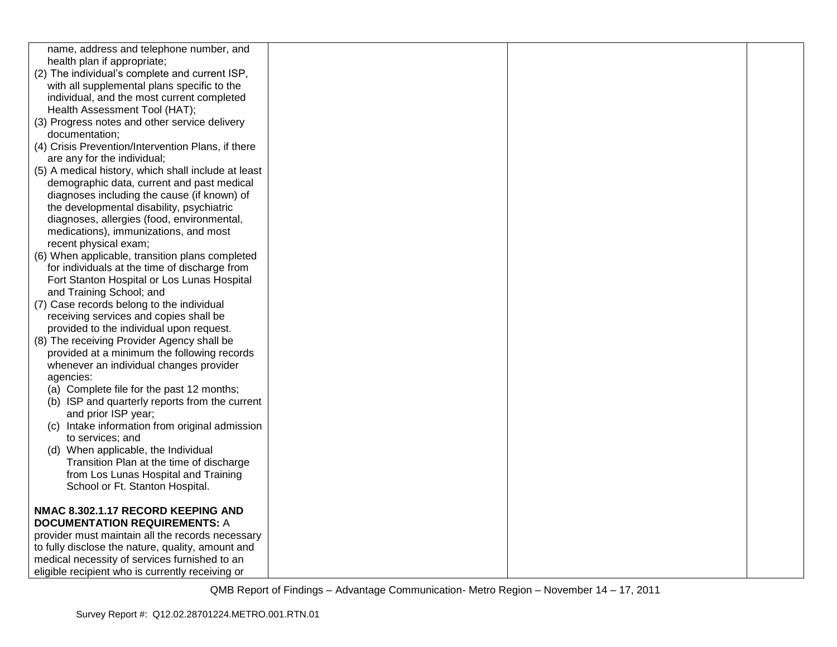| name, address and telephone number, and             |  |  |
|-----------------------------------------------------|--|--|
| health plan if appropriate;                         |  |  |
| (2) The individual's complete and current ISP,      |  |  |
| with all supplemental plans specific to the         |  |  |
| individual, and the most current completed          |  |  |
| Health Assessment Tool (HAT);                       |  |  |
| (3) Progress notes and other service delivery       |  |  |
| documentation;                                      |  |  |
| (4) Crisis Prevention/Intervention Plans, if there  |  |  |
| are any for the individual;                         |  |  |
| (5) A medical history, which shall include at least |  |  |
| demographic data, current and past medical          |  |  |
| diagnoses including the cause (if known) of         |  |  |
| the developmental disability, psychiatric           |  |  |
| diagnoses, allergies (food, environmental,          |  |  |
| medications), immunizations, and most               |  |  |
| recent physical exam;                               |  |  |
| (6) When applicable, transition plans completed     |  |  |
| for individuals at the time of discharge from       |  |  |
| Fort Stanton Hospital or Los Lunas Hospital         |  |  |
| and Training School; and                            |  |  |
| (7) Case records belong to the individual           |  |  |
| receiving services and copies shall be              |  |  |
| provided to the individual upon request.            |  |  |
|                                                     |  |  |
| (8) The receiving Provider Agency shall be          |  |  |
| provided at a minimum the following records         |  |  |
| whenever an individual changes provider             |  |  |
| agencies:                                           |  |  |
| (a) Complete file for the past 12 months;           |  |  |
| (b) ISP and quarterly reports from the current      |  |  |
| and prior ISP year;                                 |  |  |
| (c) Intake information from original admission      |  |  |
| to services; and                                    |  |  |
| (d) When applicable, the Individual                 |  |  |
| Transition Plan at the time of discharge            |  |  |
| from Los Lunas Hospital and Training                |  |  |
| School or Ft. Stanton Hospital.                     |  |  |
|                                                     |  |  |
| NMAC 8.302.1.17 RECORD KEEPING AND                  |  |  |
| <b>DOCUMENTATION REQUIREMENTS: A</b>                |  |  |
| provider must maintain all the records necessary    |  |  |
| to fully disclose the nature, quality, amount and   |  |  |
| medical necessity of services furnished to an       |  |  |
| eligible recipient who is currently receiving or    |  |  |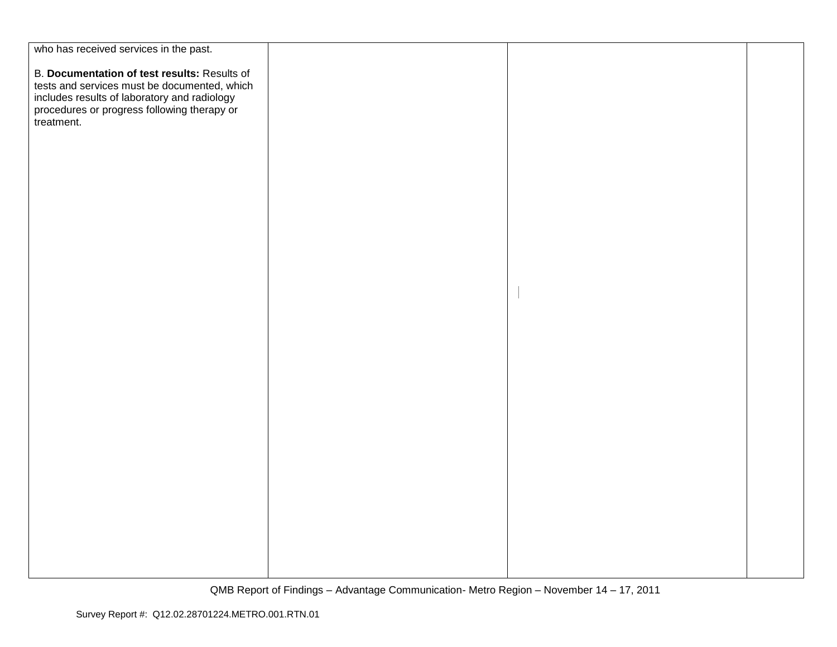| who has received services in the past.                                                                                                                                                                    |  |  |
|-----------------------------------------------------------------------------------------------------------------------------------------------------------------------------------------------------------|--|--|
| B. Documentation of test results: Results of<br>First and services must be documented, which<br>includes results of laboratory and radiology<br>procedures or progress following therapy or<br>treatment. |  |  |
|                                                                                                                                                                                                           |  |  |
|                                                                                                                                                                                                           |  |  |
|                                                                                                                                                                                                           |  |  |
|                                                                                                                                                                                                           |  |  |
|                                                                                                                                                                                                           |  |  |
|                                                                                                                                                                                                           |  |  |
|                                                                                                                                                                                                           |  |  |
|                                                                                                                                                                                                           |  |  |
|                                                                                                                                                                                                           |  |  |
|                                                                                                                                                                                                           |  |  |
|                                                                                                                                                                                                           |  |  |
|                                                                                                                                                                                                           |  |  |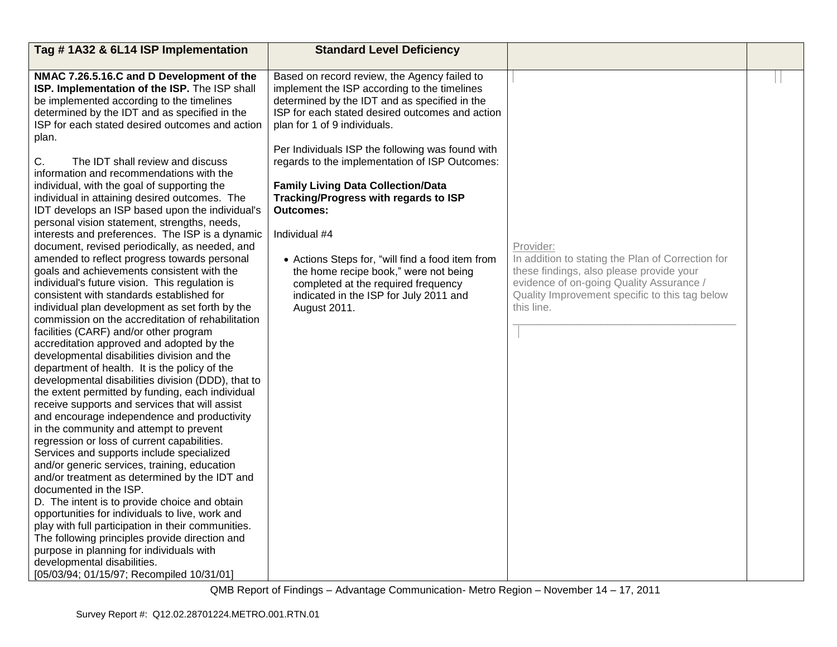| Tag #1A32 & 6L14 ISP Implementation                                                                                                                                                                                                                  | <b>Standard Level Deficiency</b>                                                                                                                                                                                                 |                                                                |  |
|------------------------------------------------------------------------------------------------------------------------------------------------------------------------------------------------------------------------------------------------------|----------------------------------------------------------------------------------------------------------------------------------------------------------------------------------------------------------------------------------|----------------------------------------------------------------|--|
|                                                                                                                                                                                                                                                      |                                                                                                                                                                                                                                  |                                                                |  |
| NMAC 7.26.5.16.C and D Development of the<br>ISP. Implementation of the ISP. The ISP shall<br>be implemented according to the timelines<br>determined by the IDT and as specified in the<br>ISP for each stated desired outcomes and action<br>plan. | Based on record review, the Agency failed to<br>implement the ISP according to the timelines<br>determined by the IDT and as specified in the<br>ISP for each stated desired outcomes and action<br>plan for 1 of 9 individuals. |                                                                |  |
| C.<br>The IDT shall review and discuss<br>information and recommendations with the                                                                                                                                                                   | Per Individuals ISP the following was found with<br>regards to the implementation of ISP Outcomes:                                                                                                                               |                                                                |  |
| individual, with the goal of supporting the<br>individual in attaining desired outcomes. The<br>IDT develops an ISP based upon the individual's<br>personal vision statement, strengths, needs,                                                      | <b>Family Living Data Collection/Data</b><br>Tracking/Progress with regards to ISP<br><b>Outcomes:</b>                                                                                                                           |                                                                |  |
| interests and preferences. The ISP is a dynamic                                                                                                                                                                                                      | Individual #4                                                                                                                                                                                                                    |                                                                |  |
| document, revised periodically, as needed, and<br>amended to reflect progress towards personal                                                                                                                                                       |                                                                                                                                                                                                                                  | Provider:<br>In addition to stating the Plan of Correction for |  |
| goals and achievements consistent with the                                                                                                                                                                                                           | • Actions Steps for, "will find a food item from<br>the home recipe book," were not being                                                                                                                                        | these findings, also please provide your                       |  |
| individual's future vision. This regulation is                                                                                                                                                                                                       | completed at the required frequency                                                                                                                                                                                              | evidence of on-going Quality Assurance /                       |  |
| consistent with standards established for                                                                                                                                                                                                            | indicated in the ISP for July 2011 and                                                                                                                                                                                           | Quality Improvement specific to this tag below                 |  |
| individual plan development as set forth by the                                                                                                                                                                                                      | August 2011.                                                                                                                                                                                                                     | this line.                                                     |  |
| commission on the accreditation of rehabilitation<br>facilities (CARF) and/or other program                                                                                                                                                          |                                                                                                                                                                                                                                  |                                                                |  |
| accreditation approved and adopted by the                                                                                                                                                                                                            |                                                                                                                                                                                                                                  |                                                                |  |
| developmental disabilities division and the                                                                                                                                                                                                          |                                                                                                                                                                                                                                  |                                                                |  |
| department of health. It is the policy of the                                                                                                                                                                                                        |                                                                                                                                                                                                                                  |                                                                |  |
| developmental disabilities division (DDD), that to                                                                                                                                                                                                   |                                                                                                                                                                                                                                  |                                                                |  |
| the extent permitted by funding, each individual                                                                                                                                                                                                     |                                                                                                                                                                                                                                  |                                                                |  |
| receive supports and services that will assist                                                                                                                                                                                                       |                                                                                                                                                                                                                                  |                                                                |  |
| and encourage independence and productivity                                                                                                                                                                                                          |                                                                                                                                                                                                                                  |                                                                |  |
| in the community and attempt to prevent                                                                                                                                                                                                              |                                                                                                                                                                                                                                  |                                                                |  |
| regression or loss of current capabilities.                                                                                                                                                                                                          |                                                                                                                                                                                                                                  |                                                                |  |
| Services and supports include specialized                                                                                                                                                                                                            |                                                                                                                                                                                                                                  |                                                                |  |
| and/or generic services, training, education                                                                                                                                                                                                         |                                                                                                                                                                                                                                  |                                                                |  |
| and/or treatment as determined by the IDT and                                                                                                                                                                                                        |                                                                                                                                                                                                                                  |                                                                |  |
| documented in the ISP.                                                                                                                                                                                                                               |                                                                                                                                                                                                                                  |                                                                |  |
| D. The intent is to provide choice and obtain                                                                                                                                                                                                        |                                                                                                                                                                                                                                  |                                                                |  |
| opportunities for individuals to live, work and                                                                                                                                                                                                      |                                                                                                                                                                                                                                  |                                                                |  |
| play with full participation in their communities.                                                                                                                                                                                                   |                                                                                                                                                                                                                                  |                                                                |  |
| The following principles provide direction and                                                                                                                                                                                                       |                                                                                                                                                                                                                                  |                                                                |  |
| purpose in planning for individuals with<br>developmental disabilities.                                                                                                                                                                              |                                                                                                                                                                                                                                  |                                                                |  |
| [05/03/94; 01/15/97; Recompiled 10/31/01]                                                                                                                                                                                                            |                                                                                                                                                                                                                                  |                                                                |  |
|                                                                                                                                                                                                                                                      |                                                                                                                                                                                                                                  |                                                                |  |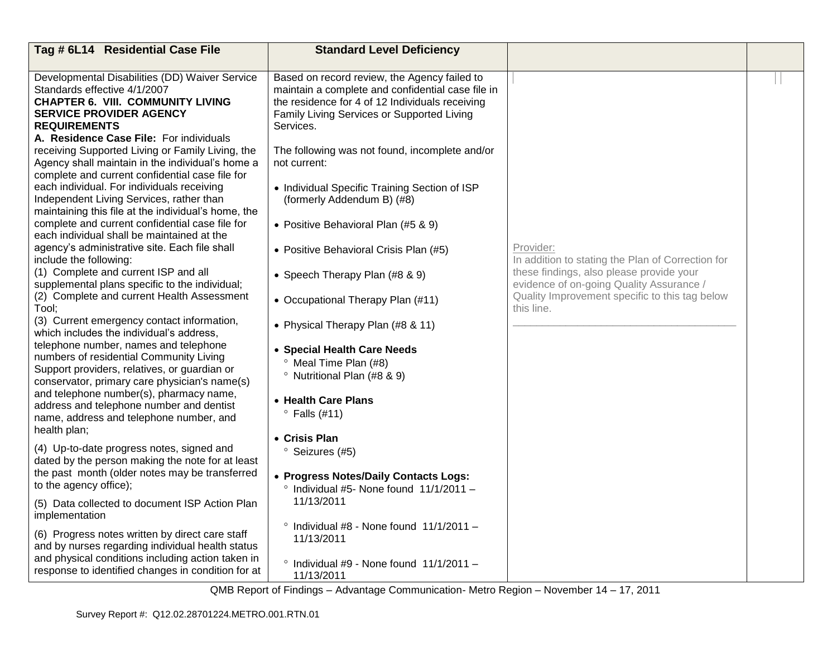| Tag # 6L14 Residential Case File                                                                                                                                                                                               | <b>Standard Level Deficiency</b>                                                                                                                                                                                |                                                                                      |  |
|--------------------------------------------------------------------------------------------------------------------------------------------------------------------------------------------------------------------------------|-----------------------------------------------------------------------------------------------------------------------------------------------------------------------------------------------------------------|--------------------------------------------------------------------------------------|--|
|                                                                                                                                                                                                                                |                                                                                                                                                                                                                 |                                                                                      |  |
| Developmental Disabilities (DD) Waiver Service<br>Standards effective 4/1/2007<br><b>CHAPTER 6. VIII. COMMUNITY LIVING</b><br><b>SERVICE PROVIDER AGENCY</b><br><b>REQUIREMENTS</b><br>A. Residence Case File: For individuals | Based on record review, the Agency failed to<br>maintain a complete and confidential case file in<br>the residence for 4 of 12 Individuals receiving<br>Family Living Services or Supported Living<br>Services. |                                                                                      |  |
| receiving Supported Living or Family Living, the<br>Agency shall maintain in the individual's home a<br>complete and current confidential case file for                                                                        | The following was not found, incomplete and/or<br>not current:                                                                                                                                                  |                                                                                      |  |
| each individual. For individuals receiving<br>Independent Living Services, rather than<br>maintaining this file at the individual's home, the                                                                                  | • Individual Specific Training Section of ISP<br>(formerly Addendum B) (#8)                                                                                                                                     |                                                                                      |  |
| complete and current confidential case file for<br>each individual shall be maintained at the                                                                                                                                  | • Positive Behavioral Plan (#5 & 9)                                                                                                                                                                             |                                                                                      |  |
| agency's administrative site. Each file shall<br>include the following:                                                                                                                                                        | • Positive Behavioral Crisis Plan (#5)                                                                                                                                                                          | Provider:<br>In addition to stating the Plan of Correction for                       |  |
| (1) Complete and current ISP and all<br>supplemental plans specific to the individual;                                                                                                                                         | • Speech Therapy Plan (#8 & 9)                                                                                                                                                                                  | these findings, also please provide your<br>evidence of on-going Quality Assurance / |  |
| (2) Complete and current Health Assessment<br>Tool;                                                                                                                                                                            | • Occupational Therapy Plan (#11)                                                                                                                                                                               | Quality Improvement specific to this tag below<br>this line.                         |  |
| (3) Current emergency contact information,<br>which includes the individual's address,                                                                                                                                         | • Physical Therapy Plan (#8 & 11)                                                                                                                                                                               |                                                                                      |  |
| telephone number, names and telephone<br>numbers of residential Community Living<br>Support providers, relatives, or guardian or<br>conservator, primary care physician's name(s)                                              | • Special Health Care Needs<br><sup>o</sup> Meal Time Plan (#8)<br><sup>o</sup> Nutritional Plan (#8 & 9)                                                                                                       |                                                                                      |  |
| and telephone number(s), pharmacy name,<br>address and telephone number and dentist<br>name, address and telephone number, and                                                                                                 | • Health Care Plans<br>$\degree$ Falls (#11)                                                                                                                                                                    |                                                                                      |  |
| health plan;                                                                                                                                                                                                                   | • Crisis Plan                                                                                                                                                                                                   |                                                                                      |  |
| (4) Up-to-date progress notes, signed and<br>dated by the person making the note for at least                                                                                                                                  | <sup>o</sup> Seizures (#5)                                                                                                                                                                                      |                                                                                      |  |
| the past month (older notes may be transferred<br>to the agency office);                                                                                                                                                       | • Progress Notes/Daily Contacts Logs:<br>$^{\circ}$ Individual #5- None found 11/1/2011 -                                                                                                                       |                                                                                      |  |
| (5) Data collected to document ISP Action Plan<br>implementation                                                                                                                                                               | 11/13/2011                                                                                                                                                                                                      |                                                                                      |  |
| (6) Progress notes written by direct care staff<br>and by nurses regarding individual health status                                                                                                                            | $\degree$ Individual #8 - None found 11/1/2011 -<br>11/13/2011                                                                                                                                                  |                                                                                      |  |
| and physical conditions including action taken in<br>response to identified changes in condition for at                                                                                                                        | $\degree$ Individual #9 - None found 11/1/2011 -<br>11/13/2011                                                                                                                                                  |                                                                                      |  |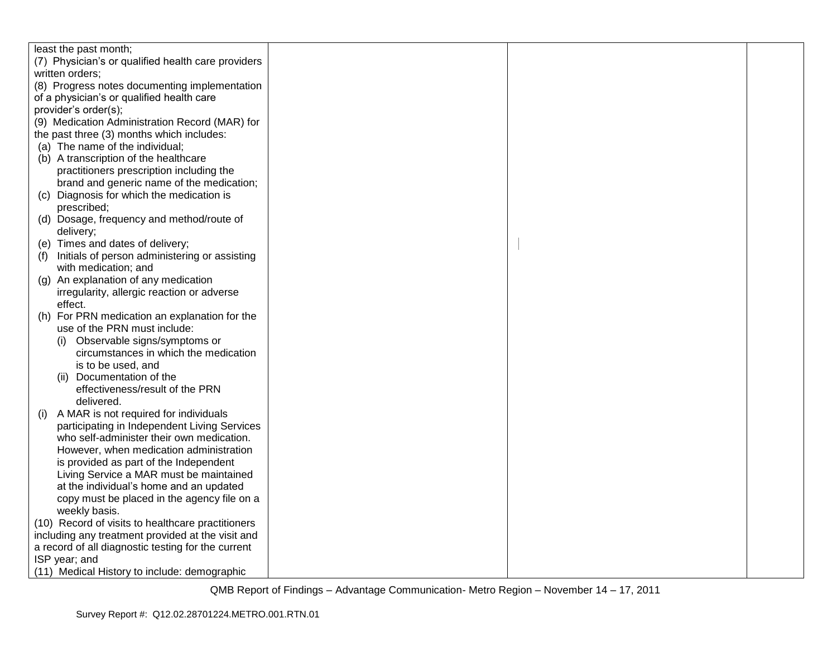|     | least the past month;                                 |  |  |
|-----|-------------------------------------------------------|--|--|
|     | (7) Physician's or qualified health care providers    |  |  |
|     | written orders;                                       |  |  |
|     | (8) Progress notes documenting implementation         |  |  |
|     | of a physician's or qualified health care             |  |  |
|     | provider's order(s);                                  |  |  |
|     | (9) Medication Administration Record (MAR) for        |  |  |
|     | the past three (3) months which includes:             |  |  |
|     | (a) The name of the individual;                       |  |  |
|     | (b) A transcription of the healthcare                 |  |  |
|     | practitioners prescription including the              |  |  |
|     | brand and generic name of the medication;             |  |  |
| (C) | Diagnosis for which the medication is                 |  |  |
|     | prescribed;                                           |  |  |
|     | (d) Dosage, frequency and method/route of             |  |  |
|     | delivery;                                             |  |  |
|     | (e) Times and dates of delivery;                      |  |  |
|     | Initials of person administering or assisting         |  |  |
| (f) |                                                       |  |  |
|     | with medication; and                                  |  |  |
| (q) | An explanation of any medication                      |  |  |
|     | irregularity, allergic reaction or adverse<br>effect. |  |  |
|     |                                                       |  |  |
|     | (h) For PRN medication an explanation for the         |  |  |
|     | use of the PRN must include:                          |  |  |
|     | Observable signs/symptoms or                          |  |  |
|     | circumstances in which the medication                 |  |  |
|     | is to be used, and                                    |  |  |
|     | Documentation of the<br>(ii)                          |  |  |
|     | effectiveness/result of the PRN                       |  |  |
|     | delivered.                                            |  |  |
| (i) | A MAR is not required for individuals                 |  |  |
|     | participating in Independent Living Services          |  |  |
|     | who self-administer their own medication.             |  |  |
|     | However, when medication administration               |  |  |
|     | is provided as part of the Independent                |  |  |
|     | Living Service a MAR must be maintained               |  |  |
|     | at the individual's home and an updated               |  |  |
|     | copy must be placed in the agency file on a           |  |  |
|     | weekly basis.                                         |  |  |
|     | (10) Record of visits to healthcare practitioners     |  |  |
|     | including any treatment provided at the visit and     |  |  |
|     | a record of all diagnostic testing for the current    |  |  |
|     | ISP year; and                                         |  |  |
|     | (11) Medical History to include: demographic          |  |  |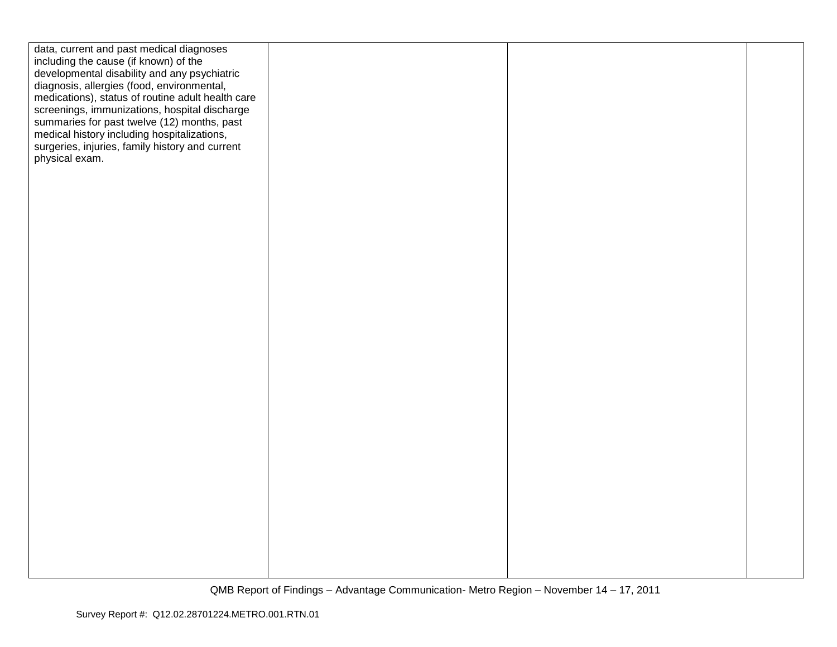| data, current and past medical diagnoses          |  |  |
|---------------------------------------------------|--|--|
| including the cause (if known) of the             |  |  |
| developmental disability and any psychiatric      |  |  |
| diagnosis, allergies (food, environmental,        |  |  |
| medications), status of routine adult health care |  |  |
| screenings, immunizations, hospital discharge     |  |  |
| summaries for past twelve (12) months, past       |  |  |
| medical history including hospitalizations,       |  |  |
| surgeries, injuries, family history and current   |  |  |
| physical exam.                                    |  |  |
|                                                   |  |  |
|                                                   |  |  |
|                                                   |  |  |
|                                                   |  |  |
|                                                   |  |  |
|                                                   |  |  |
|                                                   |  |  |
|                                                   |  |  |
|                                                   |  |  |
|                                                   |  |  |
|                                                   |  |  |
|                                                   |  |  |
|                                                   |  |  |
|                                                   |  |  |
|                                                   |  |  |
|                                                   |  |  |
|                                                   |  |  |
|                                                   |  |  |
|                                                   |  |  |
|                                                   |  |  |
|                                                   |  |  |
|                                                   |  |  |
|                                                   |  |  |
|                                                   |  |  |
|                                                   |  |  |
|                                                   |  |  |
|                                                   |  |  |
|                                                   |  |  |
|                                                   |  |  |
|                                                   |  |  |
|                                                   |  |  |
|                                                   |  |  |
|                                                   |  |  |
|                                                   |  |  |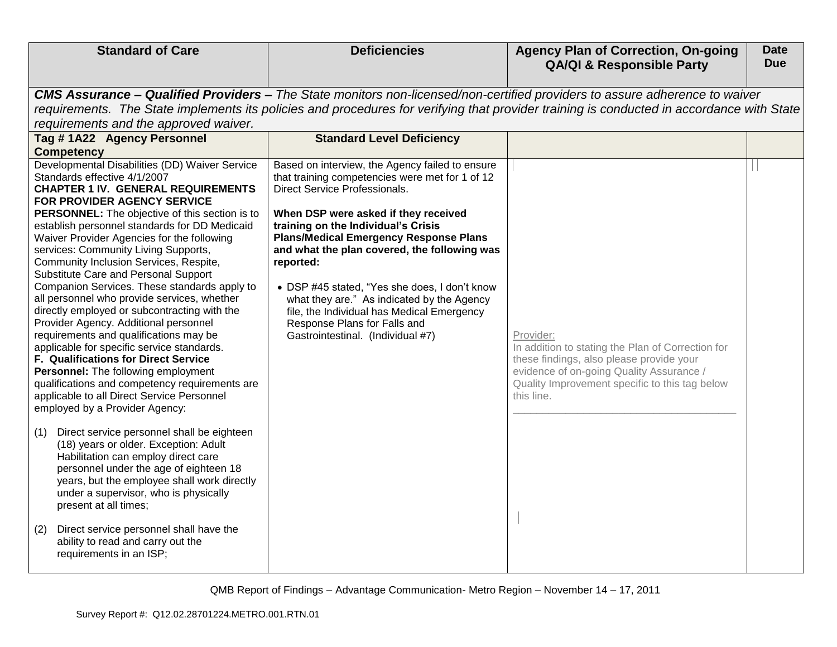| <b>Standard of Care</b>                                                                                                                                                                                                                                                                                                                                                                                                                                                                                                                                                                                                                                                                                                                                                                                                                                                                                                                                                                                                                                                                                                                                                                                                                                                                                | <b>Deficiencies</b>                                                                                                                                                                                                                                                                                                                                                                                                                                                                                                                                       | <b>Agency Plan of Correction, On-going</b><br><b>QA/QI &amp; Responsible Party</b>                                                                                                                                                                                       | <b>Date</b><br><b>Due</b> |
|--------------------------------------------------------------------------------------------------------------------------------------------------------------------------------------------------------------------------------------------------------------------------------------------------------------------------------------------------------------------------------------------------------------------------------------------------------------------------------------------------------------------------------------------------------------------------------------------------------------------------------------------------------------------------------------------------------------------------------------------------------------------------------------------------------------------------------------------------------------------------------------------------------------------------------------------------------------------------------------------------------------------------------------------------------------------------------------------------------------------------------------------------------------------------------------------------------------------------------------------------------------------------------------------------------|-----------------------------------------------------------------------------------------------------------------------------------------------------------------------------------------------------------------------------------------------------------------------------------------------------------------------------------------------------------------------------------------------------------------------------------------------------------------------------------------------------------------------------------------------------------|--------------------------------------------------------------------------------------------------------------------------------------------------------------------------------------------------------------------------------------------------------------------------|---------------------------|
| requirements and the approved waiver.                                                                                                                                                                                                                                                                                                                                                                                                                                                                                                                                                                                                                                                                                                                                                                                                                                                                                                                                                                                                                                                                                                                                                                                                                                                                  |                                                                                                                                                                                                                                                                                                                                                                                                                                                                                                                                                           | CMS Assurance - Qualified Providers - The State monitors non-licensed/non-certified providers to assure adherence to waiver<br>requirements. The State implements its policies and procedures for verifying that provider training is conducted in accordance with State |                           |
| Tag #1A22 Agency Personnel<br><b>Competency</b>                                                                                                                                                                                                                                                                                                                                                                                                                                                                                                                                                                                                                                                                                                                                                                                                                                                                                                                                                                                                                                                                                                                                                                                                                                                        | <b>Standard Level Deficiency</b>                                                                                                                                                                                                                                                                                                                                                                                                                                                                                                                          |                                                                                                                                                                                                                                                                          |                           |
| Developmental Disabilities (DD) Waiver Service<br>Standards effective 4/1/2007<br><b>CHAPTER 1 IV. GENERAL REQUIREMENTS</b><br>FOR PROVIDER AGENCY SERVICE<br><b>PERSONNEL:</b> The objective of this section is to<br>establish personnel standards for DD Medicaid<br>Waiver Provider Agencies for the following<br>services: Community Living Supports,<br>Community Inclusion Services, Respite,<br>Substitute Care and Personal Support<br>Companion Services. These standards apply to<br>all personnel who provide services, whether<br>directly employed or subcontracting with the<br>Provider Agency. Additional personnel<br>requirements and qualifications may be<br>applicable for specific service standards.<br><b>F. Qualifications for Direct Service</b><br>Personnel: The following employment<br>qualifications and competency requirements are<br>applicable to all Direct Service Personnel<br>employed by a Provider Agency:<br>Direct service personnel shall be eighteen<br>(1)<br>(18) years or older. Exception: Adult<br>Habilitation can employ direct care<br>personnel under the age of eighteen 18<br>years, but the employee shall work directly<br>under a supervisor, who is physically<br>present at all times;<br>Direct service personnel shall have the<br>(2) | Based on interview, the Agency failed to ensure<br>that training competencies were met for 1 of 12<br><b>Direct Service Professionals.</b><br>When DSP were asked if they received<br>training on the Individual's Crisis<br><b>Plans/Medical Emergency Response Plans</b><br>and what the plan covered, the following was<br>reported:<br>• DSP #45 stated, "Yes she does, I don't know<br>what they are." As indicated by the Agency<br>file, the Individual has Medical Emergency<br>Response Plans for Falls and<br>Gastrointestinal. (Individual #7) | Provider:<br>In addition to stating the Plan of Correction for<br>these findings, also please provide your<br>evidence of on-going Quality Assurance /<br>Quality Improvement specific to this tag below<br>this line.                                                   |                           |
| ability to read and carry out the<br>requirements in an ISP;                                                                                                                                                                                                                                                                                                                                                                                                                                                                                                                                                                                                                                                                                                                                                                                                                                                                                                                                                                                                                                                                                                                                                                                                                                           |                                                                                                                                                                                                                                                                                                                                                                                                                                                                                                                                                           |                                                                                                                                                                                                                                                                          |                           |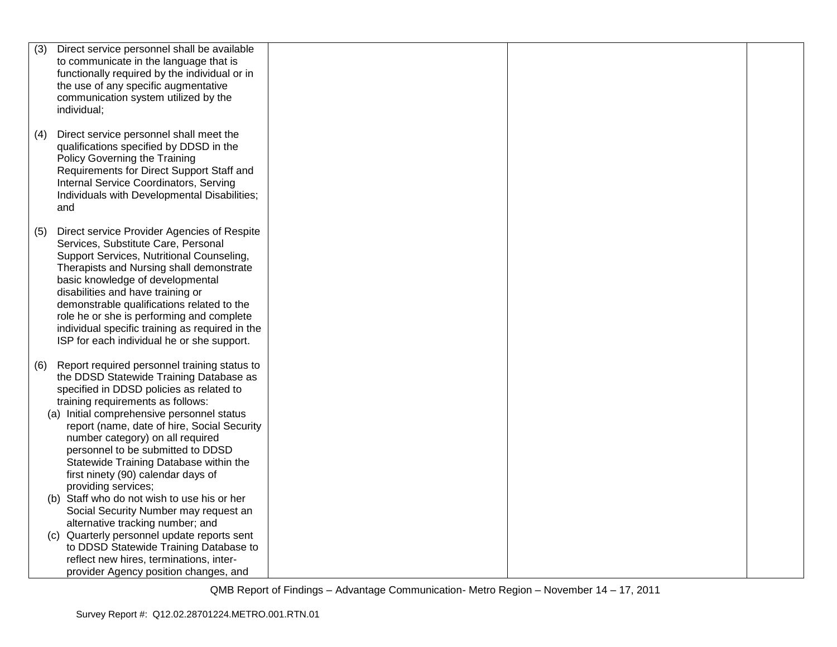| (3) | Direct service personnel shall be available                                                                                                                      |  |  |
|-----|------------------------------------------------------------------------------------------------------------------------------------------------------------------|--|--|
|     | to communicate in the language that is                                                                                                                           |  |  |
|     | functionally required by the individual or in                                                                                                                    |  |  |
|     | the use of any specific augmentative                                                                                                                             |  |  |
|     | communication system utilized by the                                                                                                                             |  |  |
|     | individual;                                                                                                                                                      |  |  |
|     |                                                                                                                                                                  |  |  |
| (4) | Direct service personnel shall meet the<br>qualifications specified by DDSD in the<br>Policy Governing the Training<br>Requirements for Direct Support Staff and |  |  |
|     | Internal Service Coordinators, Serving                                                                                                                           |  |  |
|     | Individuals with Developmental Disabilities;                                                                                                                     |  |  |
|     | and                                                                                                                                                              |  |  |
|     |                                                                                                                                                                  |  |  |
| (5) | Direct service Provider Agencies of Respite                                                                                                                      |  |  |
|     | Services, Substitute Care, Personal                                                                                                                              |  |  |
|     | Support Services, Nutritional Counseling,                                                                                                                        |  |  |
|     | Therapists and Nursing shall demonstrate<br>basic knowledge of developmental                                                                                     |  |  |
|     | disabilities and have training or                                                                                                                                |  |  |
|     | demonstrable qualifications related to the                                                                                                                       |  |  |
|     | role he or she is performing and complete                                                                                                                        |  |  |
|     | individual specific training as required in the                                                                                                                  |  |  |
|     | ISP for each individual he or she support.                                                                                                                       |  |  |
|     |                                                                                                                                                                  |  |  |
| (6) | Report required personnel training status to                                                                                                                     |  |  |
|     | the DDSD Statewide Training Database as                                                                                                                          |  |  |
|     | specified in DDSD policies as related to                                                                                                                         |  |  |
|     | training requirements as follows:                                                                                                                                |  |  |
|     | (a) Initial comprehensive personnel status                                                                                                                       |  |  |
|     | report (name, date of hire, Social Security                                                                                                                      |  |  |
|     | number category) on all required                                                                                                                                 |  |  |
|     | personnel to be submitted to DDSD                                                                                                                                |  |  |
|     | Statewide Training Database within the                                                                                                                           |  |  |
|     | first ninety (90) calendar days of                                                                                                                               |  |  |
|     | providing services;                                                                                                                                              |  |  |
|     | (b) Staff who do not wish to use his or her                                                                                                                      |  |  |
|     | Social Security Number may request an                                                                                                                            |  |  |
|     | alternative tracking number; and                                                                                                                                 |  |  |
| (C) | Quarterly personnel update reports sent                                                                                                                          |  |  |
|     | to DDSD Statewide Training Database to                                                                                                                           |  |  |
|     | reflect new hires, terminations, inter-                                                                                                                          |  |  |
|     | provider Agency position changes, and                                                                                                                            |  |  |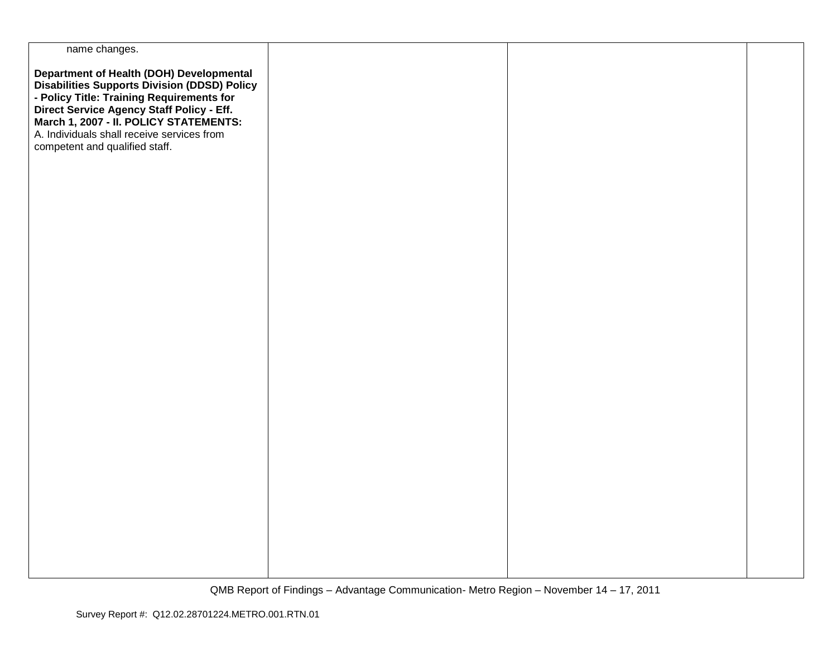| name changes.                                                                                                                                                                                                                                                                                                |  |  |
|--------------------------------------------------------------------------------------------------------------------------------------------------------------------------------------------------------------------------------------------------------------------------------------------------------------|--|--|
| Department of Health (DOH) Developmental<br>Disabilities Supports Division (DDSD) Policy<br>- Policy Title: Training Requirements for<br>Direct Service Agency Staff Policy - Eff.<br>March 1, 2007 - II. POLICY STATEMENTS:<br>A. Individuals shall receive services from<br>competent and qualified staff. |  |  |
|                                                                                                                                                                                                                                                                                                              |  |  |
|                                                                                                                                                                                                                                                                                                              |  |  |
|                                                                                                                                                                                                                                                                                                              |  |  |
|                                                                                                                                                                                                                                                                                                              |  |  |
|                                                                                                                                                                                                                                                                                                              |  |  |
|                                                                                                                                                                                                                                                                                                              |  |  |
|                                                                                                                                                                                                                                                                                                              |  |  |
|                                                                                                                                                                                                                                                                                                              |  |  |
|                                                                                                                                                                                                                                                                                                              |  |  |
|                                                                                                                                                                                                                                                                                                              |  |  |
|                                                                                                                                                                                                                                                                                                              |  |  |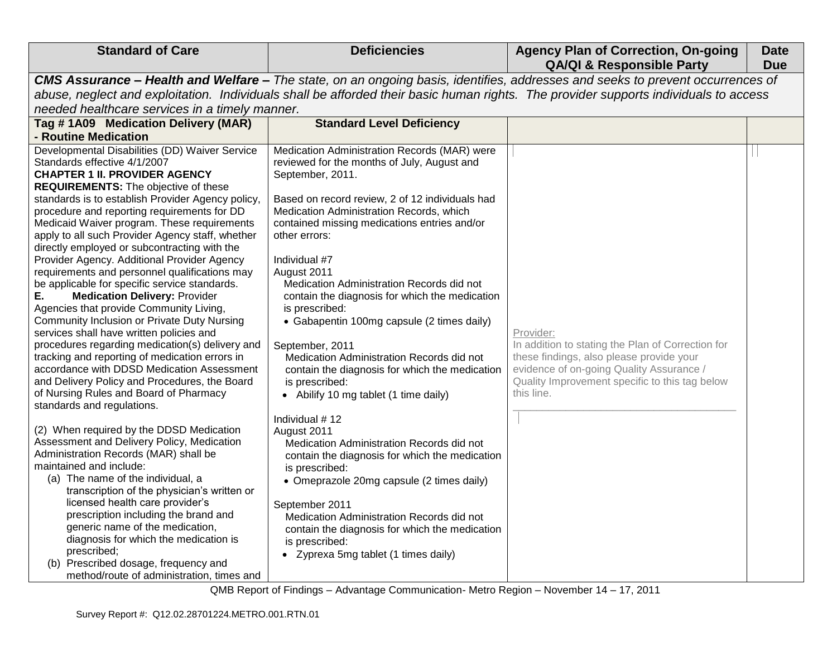| <b>Standard of Care</b>                                                                                                                                                                                                                                                                                                                                                                                                                                                                                                                                                                                                                                                                                                                                                                                                                                                                                                                                                                                                                                                                                                                                                                                                                                                                                                                                                                                                                                                                                                                                    | <b>Deficiencies</b>                                                                                                                                                                                                                                                                                                                                                                                                                                                                                                                                                                                                                                                                                                                                                                                                                                                                                                                                                                                                                   | <b>Agency Plan of Correction, On-going</b><br><b>QA/QI &amp; Responsible Party</b>                                                                                                                                                                                     | <b>Date</b><br><b>Due</b> |
|------------------------------------------------------------------------------------------------------------------------------------------------------------------------------------------------------------------------------------------------------------------------------------------------------------------------------------------------------------------------------------------------------------------------------------------------------------------------------------------------------------------------------------------------------------------------------------------------------------------------------------------------------------------------------------------------------------------------------------------------------------------------------------------------------------------------------------------------------------------------------------------------------------------------------------------------------------------------------------------------------------------------------------------------------------------------------------------------------------------------------------------------------------------------------------------------------------------------------------------------------------------------------------------------------------------------------------------------------------------------------------------------------------------------------------------------------------------------------------------------------------------------------------------------------------|---------------------------------------------------------------------------------------------------------------------------------------------------------------------------------------------------------------------------------------------------------------------------------------------------------------------------------------------------------------------------------------------------------------------------------------------------------------------------------------------------------------------------------------------------------------------------------------------------------------------------------------------------------------------------------------------------------------------------------------------------------------------------------------------------------------------------------------------------------------------------------------------------------------------------------------------------------------------------------------------------------------------------------------|------------------------------------------------------------------------------------------------------------------------------------------------------------------------------------------------------------------------------------------------------------------------|---------------------------|
| needed healthcare services in a timely manner.                                                                                                                                                                                                                                                                                                                                                                                                                                                                                                                                                                                                                                                                                                                                                                                                                                                                                                                                                                                                                                                                                                                                                                                                                                                                                                                                                                                                                                                                                                             |                                                                                                                                                                                                                                                                                                                                                                                                                                                                                                                                                                                                                                                                                                                                                                                                                                                                                                                                                                                                                                       | CMS Assurance - Health and Welfare - The state, on an ongoing basis, identifies, addresses and seeks to prevent occurrences of<br>abuse, neglect and exploitation. Individuals shall be afforded their basic human rights. The provider supports individuals to access |                           |
| Tag #1A09 Medication Delivery (MAR)<br>- Routine Medication                                                                                                                                                                                                                                                                                                                                                                                                                                                                                                                                                                                                                                                                                                                                                                                                                                                                                                                                                                                                                                                                                                                                                                                                                                                                                                                                                                                                                                                                                                | <b>Standard Level Deficiency</b>                                                                                                                                                                                                                                                                                                                                                                                                                                                                                                                                                                                                                                                                                                                                                                                                                                                                                                                                                                                                      |                                                                                                                                                                                                                                                                        |                           |
| Developmental Disabilities (DD) Waiver Service<br>Standards effective 4/1/2007<br><b>CHAPTER 1 II. PROVIDER AGENCY</b><br><b>REQUIREMENTS:</b> The objective of these<br>standards is to establish Provider Agency policy,<br>procedure and reporting requirements for DD<br>Medicaid Waiver program. These requirements<br>apply to all such Provider Agency staff, whether<br>directly employed or subcontracting with the<br>Provider Agency. Additional Provider Agency<br>requirements and personnel qualifications may<br>be applicable for specific service standards.<br><b>Medication Delivery: Provider</b><br>Е.<br>Agencies that provide Community Living,<br>Community Inclusion or Private Duty Nursing<br>services shall have written policies and<br>procedures regarding medication(s) delivery and<br>tracking and reporting of medication errors in<br>accordance with DDSD Medication Assessment<br>and Delivery Policy and Procedures, the Board<br>of Nursing Rules and Board of Pharmacy<br>standards and regulations.<br>(2) When required by the DDSD Medication<br>Assessment and Delivery Policy, Medication<br>Administration Records (MAR) shall be<br>maintained and include:<br>(a) The name of the individual, a<br>transcription of the physician's written or<br>licensed health care provider's<br>prescription including the brand and<br>generic name of the medication,<br>diagnosis for which the medication is<br>prescribed;<br>(b) Prescribed dosage, frequency and<br>method/route of administration, times and | Medication Administration Records (MAR) were<br>reviewed for the months of July, August and<br>September, 2011.<br>Based on record review, 2 of 12 individuals had<br>Medication Administration Records, which<br>contained missing medications entries and/or<br>other errors:<br>Individual #7<br>August 2011<br>Medication Administration Records did not<br>contain the diagnosis for which the medication<br>is prescribed:<br>• Gabapentin 100mg capsule (2 times daily)<br>September, 2011<br>Medication Administration Records did not<br>contain the diagnosis for which the medication<br>is prescribed:<br>• Abilify 10 mg tablet (1 time daily)<br>Individual #12<br>August 2011<br>Medication Administration Records did not<br>contain the diagnosis for which the medication<br>is prescribed:<br>• Omeprazole 20mg capsule (2 times daily)<br>September 2011<br>Medication Administration Records did not<br>contain the diagnosis for which the medication<br>is prescribed:<br>• Zyprexa 5mg tablet (1 times daily) | Provider:<br>In addition to stating the Plan of Correction for<br>these findings, also please provide your<br>evidence of on-going Quality Assurance /<br>Quality Improvement specific to this tag below<br>this line.                                                 |                           |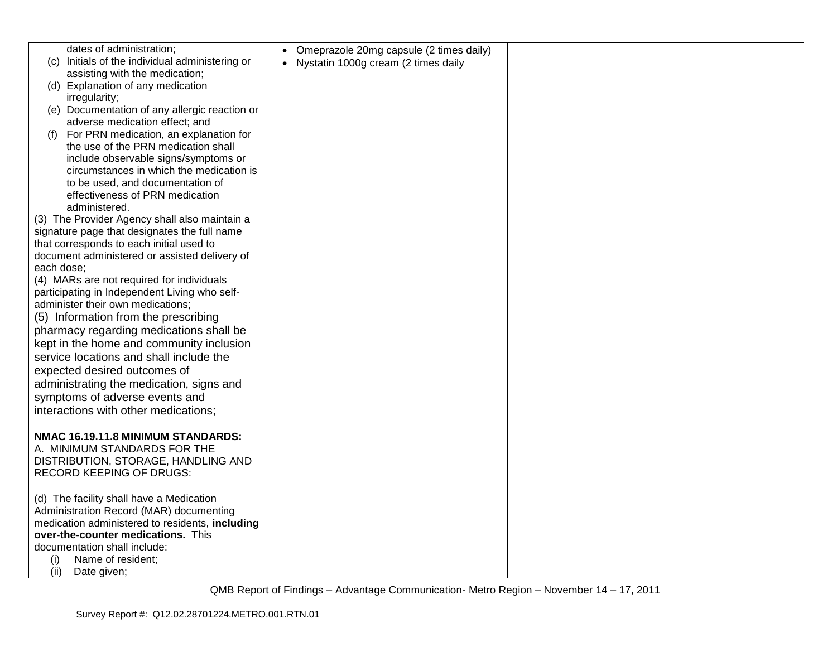| dates of administration;                        | • Omeprazole 20mg capsule (2 times daily) |  |
|-------------------------------------------------|-------------------------------------------|--|
| (c) Initials of the individual administering or | • Nystatin 1000g cream (2 times daily     |  |
| assisting with the medication;                  |                                           |  |
| (d) Explanation of any medication               |                                           |  |
| irregularity;                                   |                                           |  |
| (e) Documentation of any allergic reaction or   |                                           |  |
| adverse medication effect; and                  |                                           |  |
| For PRN medication, an explanation for<br>(1)   |                                           |  |
| the use of the PRN medication shall             |                                           |  |
| include observable signs/symptoms or            |                                           |  |
| circumstances in which the medication is        |                                           |  |
| to be used, and documentation of                |                                           |  |
| effectiveness of PRN medication                 |                                           |  |
| administered.                                   |                                           |  |
| (3) The Provider Agency shall also maintain a   |                                           |  |
| signature page that designates the full name    |                                           |  |
| that corresponds to each initial used to        |                                           |  |
| document administered or assisted delivery of   |                                           |  |
| each dose;                                      |                                           |  |
| (4) MARs are not required for individuals       |                                           |  |
| participating in Independent Living who self-   |                                           |  |
| administer their own medications;               |                                           |  |
| (5) Information from the prescribing            |                                           |  |
| pharmacy regarding medications shall be         |                                           |  |
| kept in the home and community inclusion        |                                           |  |
| service locations and shall include the         |                                           |  |
| expected desired outcomes of                    |                                           |  |
| administrating the medication, signs and        |                                           |  |
| symptoms of adverse events and                  |                                           |  |
| interactions with other medications;            |                                           |  |
|                                                 |                                           |  |
| NMAC 16.19.11.8 MINIMUM STANDARDS:              |                                           |  |
| A. MINIMUM STANDARDS FOR THE                    |                                           |  |
| DISTRIBUTION, STORAGE, HANDLING AND             |                                           |  |
| <b>RECORD KEEPING OF DRUGS:</b>                 |                                           |  |
|                                                 |                                           |  |
| (d) The facility shall have a Medication        |                                           |  |
| Administration Record (MAR) documenting         |                                           |  |
| medication administered to residents, including |                                           |  |
| over-the-counter medications. This              |                                           |  |
| documentation shall include:                    |                                           |  |
| Name of resident:<br>(i)                        |                                           |  |
| (ii)<br>Date given;                             |                                           |  |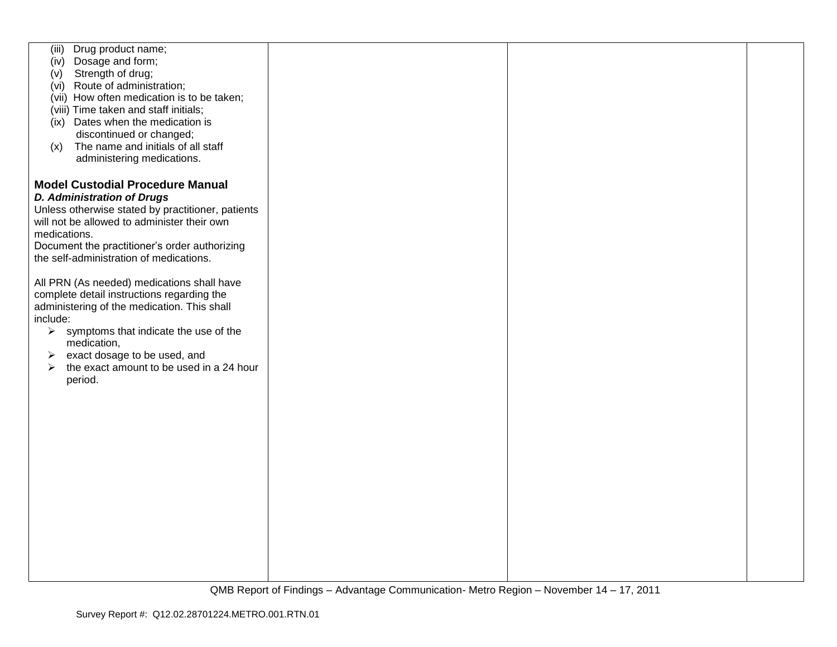| Drug product name;<br>(iii)                       |  |  |
|---------------------------------------------------|--|--|
| Dosage and form;<br>(iv)                          |  |  |
|                                                   |  |  |
| Strength of drug;<br>(v)                          |  |  |
| (vi) Route of administration;                     |  |  |
| (vii) How often medication is to be taken;        |  |  |
|                                                   |  |  |
| (viii) Time taken and staff initials;             |  |  |
| (ix) Dates when the medication is                 |  |  |
| discontinued or changed;                          |  |  |
| The name and initials of all staff<br>(x)         |  |  |
|                                                   |  |  |
| administering medications.                        |  |  |
|                                                   |  |  |
| <b>Model Custodial Procedure Manual</b>           |  |  |
|                                                   |  |  |
| <b>D. Administration of Drugs</b>                 |  |  |
| Unless otherwise stated by practitioner, patients |  |  |
| will not be allowed to administer their own       |  |  |
|                                                   |  |  |
| medications.                                      |  |  |
| Document the practitioner's order authorizing     |  |  |
| the self-administration of medications.           |  |  |
|                                                   |  |  |
|                                                   |  |  |
| All PRN (As needed) medications shall have        |  |  |
| complete detail instructions regarding the        |  |  |
| administering of the medication. This shall       |  |  |
| include:                                          |  |  |
|                                                   |  |  |
| symptoms that indicate the use of the<br>➤        |  |  |
| medication,                                       |  |  |
| exact dosage to be used, and<br>➤                 |  |  |
| the exact amount to be used in a 24 hour<br>➤     |  |  |
| period.                                           |  |  |
|                                                   |  |  |
|                                                   |  |  |
|                                                   |  |  |
|                                                   |  |  |
|                                                   |  |  |
|                                                   |  |  |
|                                                   |  |  |
|                                                   |  |  |
|                                                   |  |  |
|                                                   |  |  |
|                                                   |  |  |
|                                                   |  |  |
|                                                   |  |  |
|                                                   |  |  |
|                                                   |  |  |
|                                                   |  |  |
|                                                   |  |  |
|                                                   |  |  |
|                                                   |  |  |
|                                                   |  |  |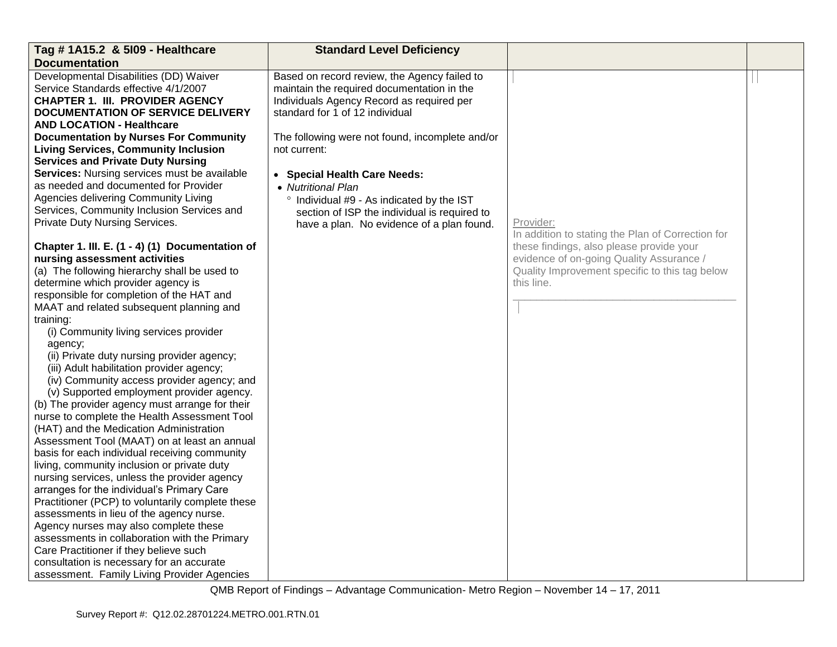| Tag # 1A15.2 & 5109 - Healthcare                 | <b>Standard Level Deficiency</b>                |                                                   |  |
|--------------------------------------------------|-------------------------------------------------|---------------------------------------------------|--|
| <b>Documentation</b>                             |                                                 |                                                   |  |
| Developmental Disabilities (DD) Waiver           | Based on record review, the Agency failed to    |                                                   |  |
| Service Standards effective 4/1/2007             | maintain the required documentation in the      |                                                   |  |
| CHAPTER 1. III. PROVIDER AGENCY                  | Individuals Agency Record as required per       |                                                   |  |
| <b>DOCUMENTATION OF SERVICE DELIVERY</b>         | standard for 1 of 12 individual                 |                                                   |  |
| <b>AND LOCATION - Healthcare</b>                 |                                                 |                                                   |  |
| <b>Documentation by Nurses For Community</b>     | The following were not found, incomplete and/or |                                                   |  |
| <b>Living Services, Community Inclusion</b>      | not current:                                    |                                                   |  |
| <b>Services and Private Duty Nursing</b>         |                                                 |                                                   |  |
| Services: Nursing services must be available     | • Special Health Care Needs:                    |                                                   |  |
| as needed and documented for Provider            | • Nutritional Plan                              |                                                   |  |
| Agencies delivering Community Living             | ° Individual #9 - As indicated by the IST       |                                                   |  |
| Services, Community Inclusion Services and       | section of ISP the individual is required to    |                                                   |  |
| Private Duty Nursing Services.                   | have a plan. No evidence of a plan found.       | Provider:                                         |  |
|                                                  |                                                 | In addition to stating the Plan of Correction for |  |
| Chapter 1. III. E. (1 - 4) (1) Documentation of  |                                                 | these findings, also please provide your          |  |
| nursing assessment activities                    |                                                 | evidence of on-going Quality Assurance /          |  |
| (a) The following hierarchy shall be used to     |                                                 | Quality Improvement specific to this tag below    |  |
| determine which provider agency is               |                                                 | this line.                                        |  |
| responsible for completion of the HAT and        |                                                 |                                                   |  |
| MAAT and related subsequent planning and         |                                                 |                                                   |  |
| training:                                        |                                                 |                                                   |  |
| (i) Community living services provider           |                                                 |                                                   |  |
| agency;                                          |                                                 |                                                   |  |
| (ii) Private duty nursing provider agency;       |                                                 |                                                   |  |
| (iii) Adult habilitation provider agency;        |                                                 |                                                   |  |
| (iv) Community access provider agency; and       |                                                 |                                                   |  |
| (v) Supported employment provider agency.        |                                                 |                                                   |  |
| (b) The provider agency must arrange for their   |                                                 |                                                   |  |
| nurse to complete the Health Assessment Tool     |                                                 |                                                   |  |
| (HAT) and the Medication Administration          |                                                 |                                                   |  |
| Assessment Tool (MAAT) on at least an annual     |                                                 |                                                   |  |
| basis for each individual receiving community    |                                                 |                                                   |  |
| living, community inclusion or private duty      |                                                 |                                                   |  |
| nursing services, unless the provider agency     |                                                 |                                                   |  |
| arranges for the individual's Primary Care       |                                                 |                                                   |  |
| Practitioner (PCP) to voluntarily complete these |                                                 |                                                   |  |
| assessments in lieu of the agency nurse.         |                                                 |                                                   |  |
| Agency nurses may also complete these            |                                                 |                                                   |  |
| assessments in collaboration with the Primary    |                                                 |                                                   |  |
| Care Practitioner if they believe such           |                                                 |                                                   |  |
| consultation is necessary for an accurate        |                                                 |                                                   |  |
| assessment. Family Living Provider Agencies      |                                                 |                                                   |  |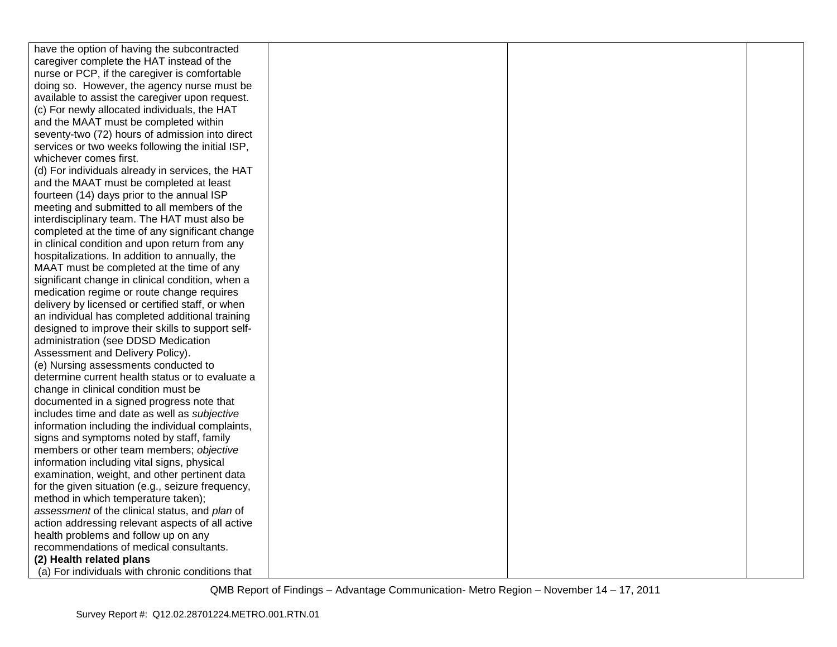| have the option of having the subcontracted       |  |  |
|---------------------------------------------------|--|--|
| caregiver complete the HAT instead of the         |  |  |
| nurse or PCP, if the caregiver is comfortable     |  |  |
| doing so. However, the agency nurse must be       |  |  |
| available to assist the caregiver upon request.   |  |  |
| (c) For newly allocated individuals, the HAT      |  |  |
| and the MAAT must be completed within             |  |  |
| seventy-two (72) hours of admission into direct   |  |  |
| services or two weeks following the initial ISP,  |  |  |
| whichever comes first.                            |  |  |
| (d) For individuals already in services, the HAT  |  |  |
| and the MAAT must be completed at least           |  |  |
| fourteen (14) days prior to the annual ISP        |  |  |
| meeting and submitted to all members of the       |  |  |
| interdisciplinary team. The HAT must also be      |  |  |
| completed at the time of any significant change   |  |  |
| in clinical condition and upon return from any    |  |  |
| hospitalizations. In addition to annually, the    |  |  |
| MAAT must be completed at the time of any         |  |  |
| significant change in clinical condition, when a  |  |  |
| medication regime or route change requires        |  |  |
| delivery by licensed or certified staff, or when  |  |  |
| an individual has completed additional training   |  |  |
| designed to improve their skills to support self- |  |  |
| administration (see DDSD Medication               |  |  |
| Assessment and Delivery Policy).                  |  |  |
| (e) Nursing assessments conducted to              |  |  |
| determine current health status or to evaluate a  |  |  |
| change in clinical condition must be              |  |  |
| documented in a signed progress note that         |  |  |
| includes time and date as well as subjective      |  |  |
| information including the individual complaints,  |  |  |
| signs and symptoms noted by staff, family         |  |  |
| members or other team members; objective          |  |  |
| information including vital signs, physical       |  |  |
| examination, weight, and other pertinent data     |  |  |
| for the given situation (e.g., seizure frequency, |  |  |
| method in which temperature taken);               |  |  |
| assessment of the clinical status, and plan of    |  |  |
| action addressing relevant aspects of all active  |  |  |
| health problems and follow up on any              |  |  |
| recommendations of medical consultants.           |  |  |
| (2) Health related plans                          |  |  |
| (a) For individuals with chronic conditions that  |  |  |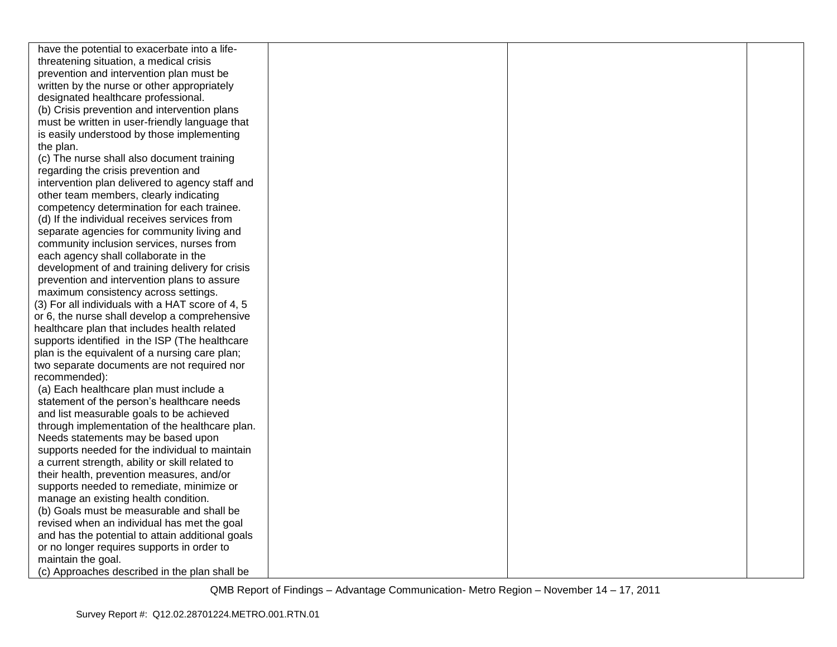| have the potential to exacerbate into a life-    |  |  |
|--------------------------------------------------|--|--|
| threatening situation, a medical crisis          |  |  |
| prevention and intervention plan must be         |  |  |
| written by the nurse or other appropriately      |  |  |
| designated healthcare professional.              |  |  |
| (b) Crisis prevention and intervention plans     |  |  |
| must be written in user-friendly language that   |  |  |
| is easily understood by those implementing       |  |  |
| the plan.                                        |  |  |
| (c) The nurse shall also document training       |  |  |
| regarding the crisis prevention and              |  |  |
| intervention plan delivered to agency staff and  |  |  |
| other team members, clearly indicating           |  |  |
| competency determination for each trainee.       |  |  |
| (d) If the individual receives services from     |  |  |
| separate agencies for community living and       |  |  |
| community inclusion services, nurses from        |  |  |
| each agency shall collaborate in the             |  |  |
| development of and training delivery for crisis  |  |  |
| prevention and intervention plans to assure      |  |  |
| maximum consistency across settings.             |  |  |
| (3) For all individuals with a HAT score of 4, 5 |  |  |
| or 6, the nurse shall develop a comprehensive    |  |  |
| healthcare plan that includes health related     |  |  |
| supports identified in the ISP (The healthcare   |  |  |
| plan is the equivalent of a nursing care plan;   |  |  |
| two separate documents are not required nor      |  |  |
| recommended):                                    |  |  |
| (a) Each healthcare plan must include a          |  |  |
| statement of the person's healthcare needs       |  |  |
| and list measurable goals to be achieved         |  |  |
| through implementation of the healthcare plan.   |  |  |
| Needs statements may be based upon               |  |  |
| supports needed for the individual to maintain   |  |  |
| a current strength, ability or skill related to  |  |  |
| their health, prevention measures, and/or        |  |  |
| supports needed to remediate, minimize or        |  |  |
| manage an existing health condition.             |  |  |
| (b) Goals must be measurable and shall be        |  |  |
| revised when an individual has met the goal      |  |  |
| and has the potential to attain additional goals |  |  |
| or no longer requires supports in order to       |  |  |
| maintain the goal.                               |  |  |
| (c) Approaches described in the plan shall be    |  |  |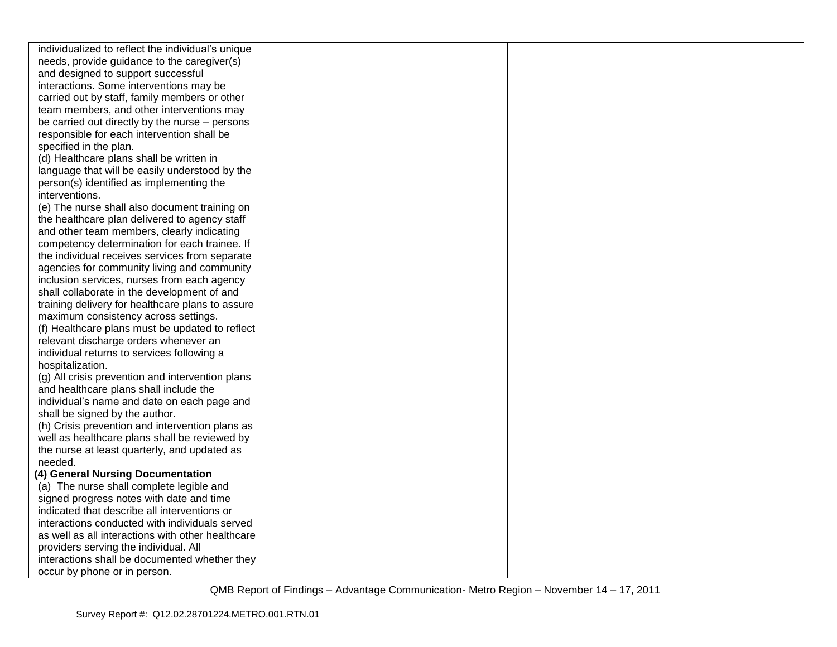| individualized to reflect the individual's unique |  |  |
|---------------------------------------------------|--|--|
| needs, provide guidance to the caregiver(s)       |  |  |
| and designed to support successful                |  |  |
| interactions. Some interventions may be           |  |  |
| carried out by staff, family members or other     |  |  |
| team members, and other interventions may         |  |  |
| be carried out directly by the nurse – persons    |  |  |
| responsible for each intervention shall be        |  |  |
| specified in the plan.                            |  |  |
| (d) Healthcare plans shall be written in          |  |  |
| language that will be easily understood by the    |  |  |
| person(s) identified as implementing the          |  |  |
| interventions.                                    |  |  |
| (e) The nurse shall also document training on     |  |  |
| the healthcare plan delivered to agency staff     |  |  |
| and other team members, clearly indicating        |  |  |
| competency determination for each trainee. If     |  |  |
| the individual receives services from separate    |  |  |
| agencies for community living and community       |  |  |
| inclusion services, nurses from each agency       |  |  |
| shall collaborate in the development of and       |  |  |
| training delivery for healthcare plans to assure  |  |  |
| maximum consistency across settings.              |  |  |
| (f) Healthcare plans must be updated to reflect   |  |  |
| relevant discharge orders whenever an             |  |  |
| individual returns to services following a        |  |  |
| hospitalization.                                  |  |  |
| (g) All crisis prevention and intervention plans  |  |  |
| and healthcare plans shall include the            |  |  |
| individual's name and date on each page and       |  |  |
| shall be signed by the author.                    |  |  |
| (h) Crisis prevention and intervention plans as   |  |  |
| well as healthcare plans shall be reviewed by     |  |  |
| the nurse at least quarterly, and updated as      |  |  |
| needed.                                           |  |  |
| (4) General Nursing Documentation                 |  |  |
| (a) The nurse shall complete legible and          |  |  |
| signed progress notes with date and time          |  |  |
| indicated that describe all interventions or      |  |  |
| interactions conducted with individuals served    |  |  |
| as well as all interactions with other healthcare |  |  |
| providers serving the individual. All             |  |  |
| interactions shall be documented whether they     |  |  |
| occur by phone or in person.                      |  |  |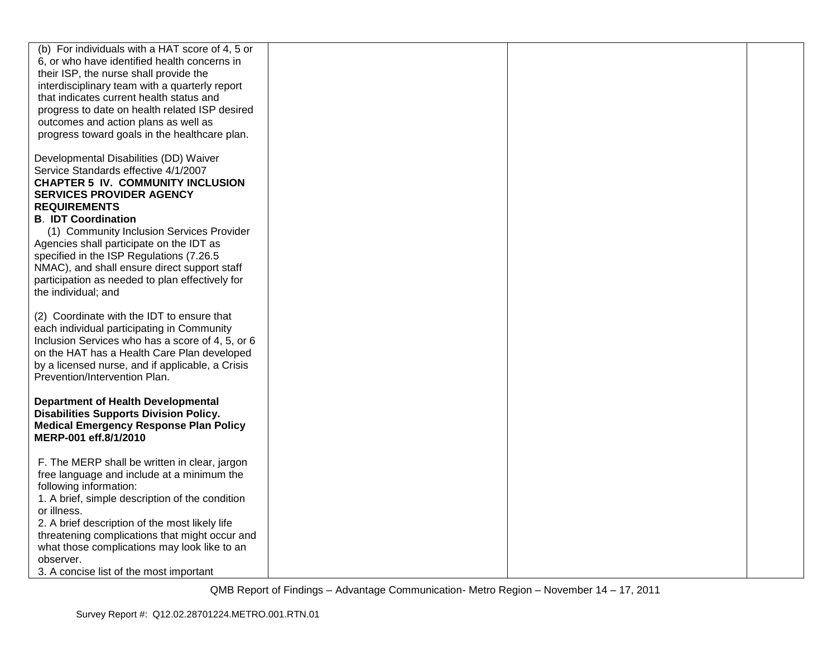| (b) For individuals with a HAT score of 4, 5 or<br>6, or who have identified health concerns in<br>their ISP, the nurse shall provide the<br>interdisciplinary team with a quarterly report<br>that indicates current health status and<br>progress to date on health related ISP desired<br>outcomes and action plans as well as<br>progress toward goals in the healthcare plan.                                                                                                |  |  |
|-----------------------------------------------------------------------------------------------------------------------------------------------------------------------------------------------------------------------------------------------------------------------------------------------------------------------------------------------------------------------------------------------------------------------------------------------------------------------------------|--|--|
| Developmental Disabilities (DD) Waiver<br>Service Standards effective 4/1/2007<br><b>CHAPTER 5 IV. COMMUNITY INCLUSION</b><br><b>SERVICES PROVIDER AGENCY</b><br><b>REQUIREMENTS</b><br><b>B. IDT Coordination</b><br>(1) Community Inclusion Services Provider<br>Agencies shall participate on the IDT as<br>specified in the ISP Regulations (7.26.5<br>NMAC), and shall ensure direct support staff<br>participation as needed to plan effectively for<br>the individual; and |  |  |
| (2) Coordinate with the IDT to ensure that<br>each individual participating in Community<br>Inclusion Services who has a score of 4, 5, or 6<br>on the HAT has a Health Care Plan developed<br>by a licensed nurse, and if applicable, a Crisis<br>Prevention/Intervention Plan.                                                                                                                                                                                                  |  |  |
| <b>Department of Health Developmental</b><br><b>Disabilities Supports Division Policy.</b><br><b>Medical Emergency Response Plan Policy</b><br>MERP-001 eff.8/1/2010                                                                                                                                                                                                                                                                                                              |  |  |
| F. The MERP shall be written in clear, jargon<br>free language and include at a minimum the<br>following information:<br>1. A brief, simple description of the condition<br>or illness.<br>2. A brief description of the most likely life<br>threatening complications that might occur and<br>what those complications may look like to an<br>observer.<br>3. A concise list of the most important                                                                               |  |  |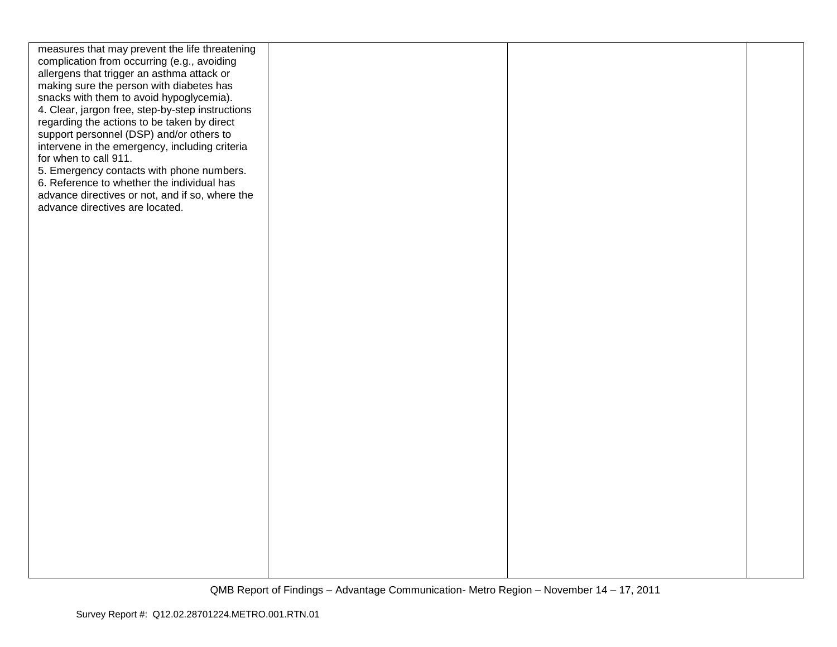| measures that may prevent the life threatening<br>complication from occurring (e.g., avoiding |  |  |
|-----------------------------------------------------------------------------------------------|--|--|
| allergens that trigger an asthma attack or                                                    |  |  |
| making sure the person with diabetes has                                                      |  |  |
| snacks with them to avoid hypoglycemia).                                                      |  |  |
| 4. Clear, jargon free, step-by-step instructions                                              |  |  |
| regarding the actions to be taken by direct<br>support personnel (DSP) and/or others to       |  |  |
| intervene in the emergency, including criteria                                                |  |  |
| for when to call 911.                                                                         |  |  |
| 5. Emergency contacts with phone numbers.                                                     |  |  |
| 6. Reference to whether the individual has                                                    |  |  |
| advance directives or not, and if so, where the<br>advance directives are located.            |  |  |
|                                                                                               |  |  |
|                                                                                               |  |  |
|                                                                                               |  |  |
|                                                                                               |  |  |
|                                                                                               |  |  |
|                                                                                               |  |  |
|                                                                                               |  |  |
|                                                                                               |  |  |
|                                                                                               |  |  |
|                                                                                               |  |  |
|                                                                                               |  |  |
|                                                                                               |  |  |
|                                                                                               |  |  |
|                                                                                               |  |  |
|                                                                                               |  |  |
|                                                                                               |  |  |
|                                                                                               |  |  |
|                                                                                               |  |  |
|                                                                                               |  |  |
|                                                                                               |  |  |
|                                                                                               |  |  |
|                                                                                               |  |  |
|                                                                                               |  |  |
|                                                                                               |  |  |
|                                                                                               |  |  |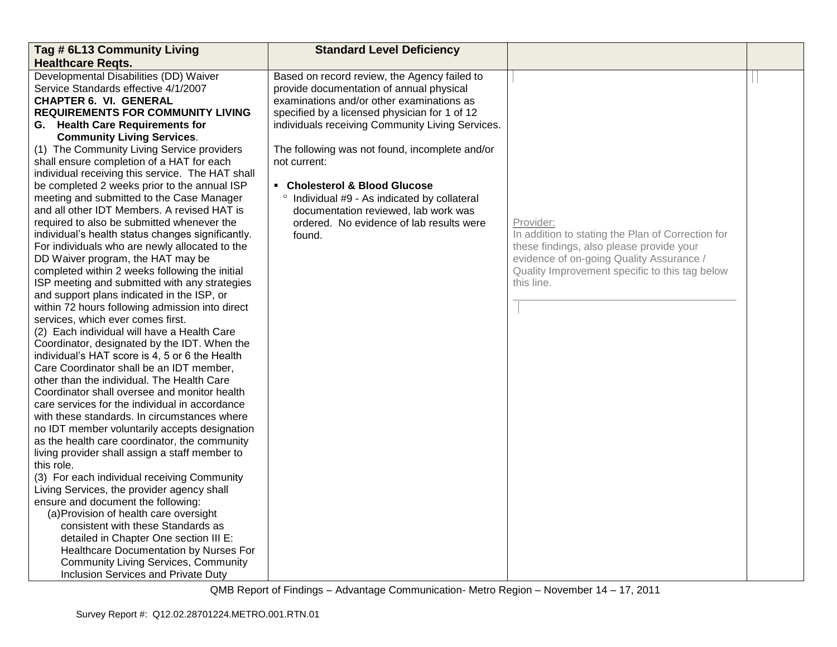| Tag # 6L13 Community Living                                                                                                                                                                                                                                                                                                                                                                                                                                                                                                                                                                                                                                                                                                                                                                                                                                                                                                                                                                                                                                                                                                    | <b>Standard Level Deficiency</b>                                                                                                                                                                                                                                                             |                                                                                                                                                                                                                        |  |
|--------------------------------------------------------------------------------------------------------------------------------------------------------------------------------------------------------------------------------------------------------------------------------------------------------------------------------------------------------------------------------------------------------------------------------------------------------------------------------------------------------------------------------------------------------------------------------------------------------------------------------------------------------------------------------------------------------------------------------------------------------------------------------------------------------------------------------------------------------------------------------------------------------------------------------------------------------------------------------------------------------------------------------------------------------------------------------------------------------------------------------|----------------------------------------------------------------------------------------------------------------------------------------------------------------------------------------------------------------------------------------------------------------------------------------------|------------------------------------------------------------------------------------------------------------------------------------------------------------------------------------------------------------------------|--|
| <b>Healthcare Regts.</b>                                                                                                                                                                                                                                                                                                                                                                                                                                                                                                                                                                                                                                                                                                                                                                                                                                                                                                                                                                                                                                                                                                       |                                                                                                                                                                                                                                                                                              |                                                                                                                                                                                                                        |  |
| Developmental Disabilities (DD) Waiver<br>Service Standards effective 4/1/2007<br><b>CHAPTER 6. VI. GENERAL</b><br><b>REQUIREMENTS FOR COMMUNITY LIVING</b><br>G. Health Care Requirements for<br><b>Community Living Services.</b><br>(1) The Community Living Service providers                                                                                                                                                                                                                                                                                                                                                                                                                                                                                                                                                                                                                                                                                                                                                                                                                                              | Based on record review, the Agency failed to<br>provide documentation of annual physical<br>examinations and/or other examinations as<br>specified by a licensed physician for 1 of 12<br>individuals receiving Community Living Services.<br>The following was not found, incomplete and/or |                                                                                                                                                                                                                        |  |
| shall ensure completion of a HAT for each                                                                                                                                                                                                                                                                                                                                                                                                                                                                                                                                                                                                                                                                                                                                                                                                                                                                                                                                                                                                                                                                                      | not current:                                                                                                                                                                                                                                                                                 |                                                                                                                                                                                                                        |  |
|                                                                                                                                                                                                                                                                                                                                                                                                                                                                                                                                                                                                                                                                                                                                                                                                                                                                                                                                                                                                                                                                                                                                |                                                                                                                                                                                                                                                                                              |                                                                                                                                                                                                                        |  |
| individual receiving this service. The HAT shall<br>be completed 2 weeks prior to the annual ISP<br>meeting and submitted to the Case Manager<br>and all other IDT Members. A revised HAT is<br>required to also be submitted whenever the<br>individual's health status changes significantly.<br>For individuals who are newly allocated to the<br>DD Waiver program, the HAT may be<br>completed within 2 weeks following the initial<br>ISP meeting and submitted with any strategies<br>and support plans indicated in the ISP, or<br>within 72 hours following admission into direct<br>services, which ever comes first.<br>(2) Each individual will have a Health Care<br>Coordinator, designated by the IDT. When the<br>individual's HAT score is 4, 5 or 6 the Health<br>Care Coordinator shall be an IDT member,<br>other than the individual. The Health Care<br>Coordinator shall oversee and monitor health<br>care services for the individual in accordance<br>with these standards. In circumstances where<br>no IDT member voluntarily accepts designation<br>as the health care coordinator, the community | • Cholesterol & Blood Glucose<br>° Individual #9 - As indicated by collateral<br>documentation reviewed, lab work was<br>ordered. No evidence of lab results were<br>found.                                                                                                                  | Provider:<br>In addition to stating the Plan of Correction for<br>these findings, also please provide your<br>evidence of on-going Quality Assurance /<br>Quality Improvement specific to this tag below<br>this line. |  |
| living provider shall assign a staff member to                                                                                                                                                                                                                                                                                                                                                                                                                                                                                                                                                                                                                                                                                                                                                                                                                                                                                                                                                                                                                                                                                 |                                                                                                                                                                                                                                                                                              |                                                                                                                                                                                                                        |  |
| this role.                                                                                                                                                                                                                                                                                                                                                                                                                                                                                                                                                                                                                                                                                                                                                                                                                                                                                                                                                                                                                                                                                                                     |                                                                                                                                                                                                                                                                                              |                                                                                                                                                                                                                        |  |
| (3) For each individual receiving Community<br>Living Services, the provider agency shall                                                                                                                                                                                                                                                                                                                                                                                                                                                                                                                                                                                                                                                                                                                                                                                                                                                                                                                                                                                                                                      |                                                                                                                                                                                                                                                                                              |                                                                                                                                                                                                                        |  |
| ensure and document the following:                                                                                                                                                                                                                                                                                                                                                                                                                                                                                                                                                                                                                                                                                                                                                                                                                                                                                                                                                                                                                                                                                             |                                                                                                                                                                                                                                                                                              |                                                                                                                                                                                                                        |  |
| (a) Provision of health care oversight                                                                                                                                                                                                                                                                                                                                                                                                                                                                                                                                                                                                                                                                                                                                                                                                                                                                                                                                                                                                                                                                                         |                                                                                                                                                                                                                                                                                              |                                                                                                                                                                                                                        |  |
| consistent with these Standards as                                                                                                                                                                                                                                                                                                                                                                                                                                                                                                                                                                                                                                                                                                                                                                                                                                                                                                                                                                                                                                                                                             |                                                                                                                                                                                                                                                                                              |                                                                                                                                                                                                                        |  |
| detailed in Chapter One section III E:                                                                                                                                                                                                                                                                                                                                                                                                                                                                                                                                                                                                                                                                                                                                                                                                                                                                                                                                                                                                                                                                                         |                                                                                                                                                                                                                                                                                              |                                                                                                                                                                                                                        |  |
| Healthcare Documentation by Nurses For                                                                                                                                                                                                                                                                                                                                                                                                                                                                                                                                                                                                                                                                                                                                                                                                                                                                                                                                                                                                                                                                                         |                                                                                                                                                                                                                                                                                              |                                                                                                                                                                                                                        |  |
| <b>Community Living Services, Community</b>                                                                                                                                                                                                                                                                                                                                                                                                                                                                                                                                                                                                                                                                                                                                                                                                                                                                                                                                                                                                                                                                                    |                                                                                                                                                                                                                                                                                              |                                                                                                                                                                                                                        |  |
| Inclusion Services and Private Duty                                                                                                                                                                                                                                                                                                                                                                                                                                                                                                                                                                                                                                                                                                                                                                                                                                                                                                                                                                                                                                                                                            |                                                                                                                                                                                                                                                                                              |                                                                                                                                                                                                                        |  |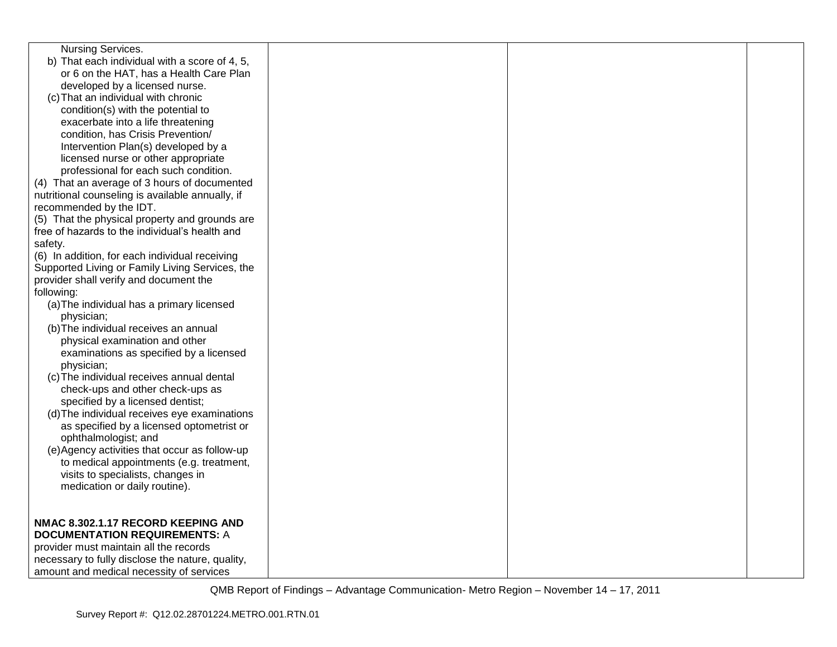| <b>Nursing Services.</b>                         |  |  |
|--------------------------------------------------|--|--|
| b) That each individual with a score of 4, 5,    |  |  |
| or 6 on the HAT, has a Health Care Plan          |  |  |
| developed by a licensed nurse.                   |  |  |
| (c) That an individual with chronic              |  |  |
| condition(s) with the potential to               |  |  |
| exacerbate into a life threatening               |  |  |
| condition, has Crisis Prevention/                |  |  |
| Intervention Plan(s) developed by a              |  |  |
| licensed nurse or other appropriate              |  |  |
| professional for each such condition.            |  |  |
| (4) That an average of 3 hours of documented     |  |  |
| nutritional counseling is available annually, if |  |  |
| recommended by the IDT.                          |  |  |
| (5) That the physical property and grounds are   |  |  |
| free of hazards to the individual's health and   |  |  |
| safety.                                          |  |  |
| (6) In addition, for each individual receiving   |  |  |
| Supported Living or Family Living Services, the  |  |  |
| provider shall verify and document the           |  |  |
| following:                                       |  |  |
| (a) The individual has a primary licensed        |  |  |
| physician;                                       |  |  |
| (b) The individual receives an annual            |  |  |
| physical examination and other                   |  |  |
| examinations as specified by a licensed          |  |  |
| physician;                                       |  |  |
| (c) The individual receives annual dental        |  |  |
| check-ups and other check-ups as                 |  |  |
| specified by a licensed dentist;                 |  |  |
| (d) The individual receives eye examinations     |  |  |
| as specified by a licensed optometrist or        |  |  |
| ophthalmologist; and                             |  |  |
| (e) Agency activities that occur as follow-up    |  |  |
| to medical appointments (e.g. treatment,         |  |  |
| visits to specialists, changes in                |  |  |
| medication or daily routine).                    |  |  |
|                                                  |  |  |
|                                                  |  |  |
| NMAC 8.302.1.17 RECORD KEEPING AND               |  |  |
| <b>DOCUMENTATION REQUIREMENTS: A</b>             |  |  |
| provider must maintain all the records           |  |  |
| necessary to fully disclose the nature, quality, |  |  |
| amount and medical necessity of services         |  |  |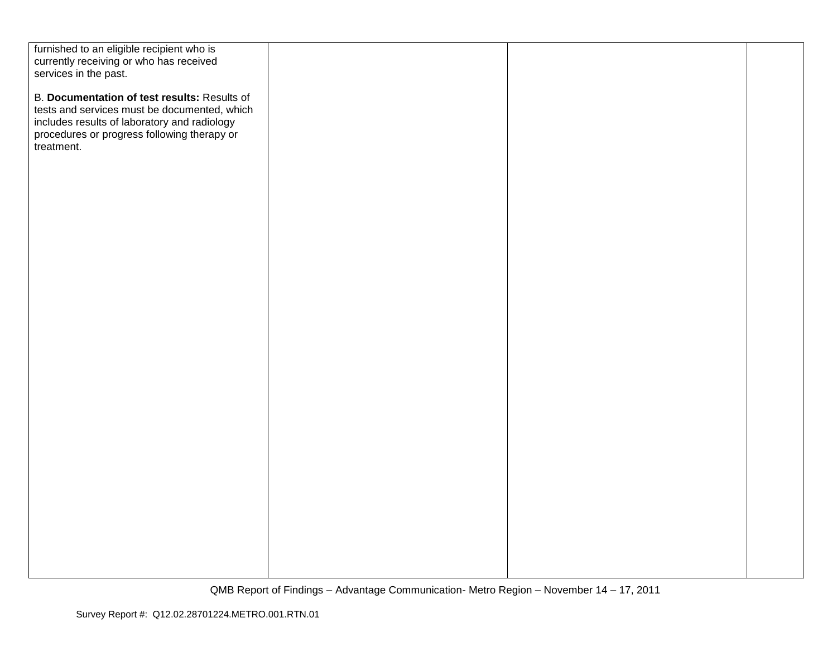| furnished to an eligible recipient who is    |  |  |
|----------------------------------------------|--|--|
| currently receiving or who has received      |  |  |
| services in the past.                        |  |  |
| B. Documentation of test results: Results of |  |  |
| tests and services must be documented, which |  |  |
| includes results of laboratory and radiology |  |  |
| procedures or progress following therapy or  |  |  |
| treatment.                                   |  |  |
|                                              |  |  |
|                                              |  |  |
|                                              |  |  |
|                                              |  |  |
|                                              |  |  |
|                                              |  |  |
|                                              |  |  |
|                                              |  |  |
|                                              |  |  |
|                                              |  |  |
|                                              |  |  |
|                                              |  |  |
|                                              |  |  |
|                                              |  |  |
|                                              |  |  |
|                                              |  |  |
|                                              |  |  |
|                                              |  |  |
|                                              |  |  |
|                                              |  |  |
|                                              |  |  |
|                                              |  |  |
|                                              |  |  |
|                                              |  |  |
|                                              |  |  |
|                                              |  |  |
|                                              |  |  |
|                                              |  |  |
|                                              |  |  |
|                                              |  |  |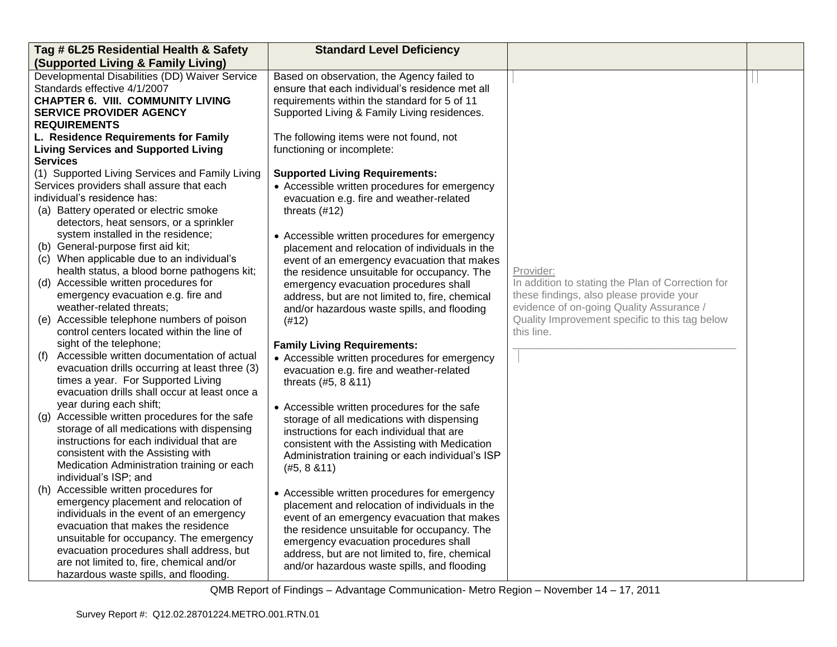| Tag # 6L25 Residential Health & Safety                                                                                                                                                                                                                                                                                                         | <b>Standard Level Deficiency</b>                                                                                                                                                                                                                                                                                                                  |                                                                                                                                                                                                          |  |
|------------------------------------------------------------------------------------------------------------------------------------------------------------------------------------------------------------------------------------------------------------------------------------------------------------------------------------------------|---------------------------------------------------------------------------------------------------------------------------------------------------------------------------------------------------------------------------------------------------------------------------------------------------------------------------------------------------|----------------------------------------------------------------------------------------------------------------------------------------------------------------------------------------------------------|--|
| (Supported Living & Family Living)                                                                                                                                                                                                                                                                                                             |                                                                                                                                                                                                                                                                                                                                                   |                                                                                                                                                                                                          |  |
| Developmental Disabilities (DD) Waiver Service<br>Standards effective 4/1/2007<br><b>CHAPTER 6. VIII. COMMUNITY LIVING</b><br><b>SERVICE PROVIDER AGENCY</b><br><b>REQUIREMENTS</b>                                                                                                                                                            | Based on observation, the Agency failed to<br>ensure that each individual's residence met all<br>requirements within the standard for 5 of 11<br>Supported Living & Family Living residences.                                                                                                                                                     |                                                                                                                                                                                                          |  |
| L. Residence Requirements for Family                                                                                                                                                                                                                                                                                                           | The following items were not found, not                                                                                                                                                                                                                                                                                                           |                                                                                                                                                                                                          |  |
| <b>Living Services and Supported Living</b>                                                                                                                                                                                                                                                                                                    | functioning or incomplete:                                                                                                                                                                                                                                                                                                                        |                                                                                                                                                                                                          |  |
| <b>Services</b><br>(1) Supported Living Services and Family Living<br>Services providers shall assure that each<br>individual's residence has:<br>(a) Battery operated or electric smoke<br>detectors, heat sensors, or a sprinkler                                                                                                            | <b>Supported Living Requirements:</b><br>• Accessible written procedures for emergency<br>evacuation e.g. fire and weather-related<br>threats $(#12)$                                                                                                                                                                                             |                                                                                                                                                                                                          |  |
| system installed in the residence;<br>(b) General-purpose first aid kit;<br>(c) When applicable due to an individual's<br>health status, a blood borne pathogens kit;<br>(d) Accessible written procedures for<br>emergency evacuation e.g. fire and<br>weather-related threats;<br>(e) Accessible telephone numbers of poison                 | • Accessible written procedures for emergency<br>placement and relocation of individuals in the<br>event of an emergency evacuation that makes<br>the residence unsuitable for occupancy. The<br>emergency evacuation procedures shall<br>address, but are not limited to, fire, chemical<br>and/or hazardous waste spills, and flooding<br>(#12) | Provider:<br>In addition to stating the Plan of Correction for<br>these findings, also please provide your<br>evidence of on-going Quality Assurance /<br>Quality Improvement specific to this tag below |  |
| control centers located within the line of<br>sight of the telephone;                                                                                                                                                                                                                                                                          | <b>Family Living Requirements:</b>                                                                                                                                                                                                                                                                                                                | this line.                                                                                                                                                                                               |  |
| Accessible written documentation of actual<br>(f)<br>evacuation drills occurring at least three (3)<br>times a year. For Supported Living<br>evacuation drills shall occur at least once a<br>year during each shift;                                                                                                                          | • Accessible written procedures for emergency<br>evacuation e.g. fire and weather-related<br>threats (#5, 8 & 11)                                                                                                                                                                                                                                 |                                                                                                                                                                                                          |  |
| (g) Accessible written procedures for the safe<br>storage of all medications with dispensing<br>instructions for each individual that are<br>consistent with the Assisting with<br>Medication Administration training or each<br>individual's ISP; and                                                                                         | • Accessible written procedures for the safe<br>storage of all medications with dispensing<br>instructions for each individual that are<br>consistent with the Assisting with Medication<br>Administration training or each individual's ISP<br>(#5, 8, 8, 11)                                                                                    |                                                                                                                                                                                                          |  |
| (h) Accessible written procedures for<br>emergency placement and relocation of<br>individuals in the event of an emergency<br>evacuation that makes the residence<br>unsuitable for occupancy. The emergency<br>evacuation procedures shall address, but<br>are not limited to, fire, chemical and/or<br>hazardous waste spills, and flooding. | • Accessible written procedures for emergency<br>placement and relocation of individuals in the<br>event of an emergency evacuation that makes<br>the residence unsuitable for occupancy. The<br>emergency evacuation procedures shall<br>address, but are not limited to, fire, chemical<br>and/or hazardous waste spills, and flooding          |                                                                                                                                                                                                          |  |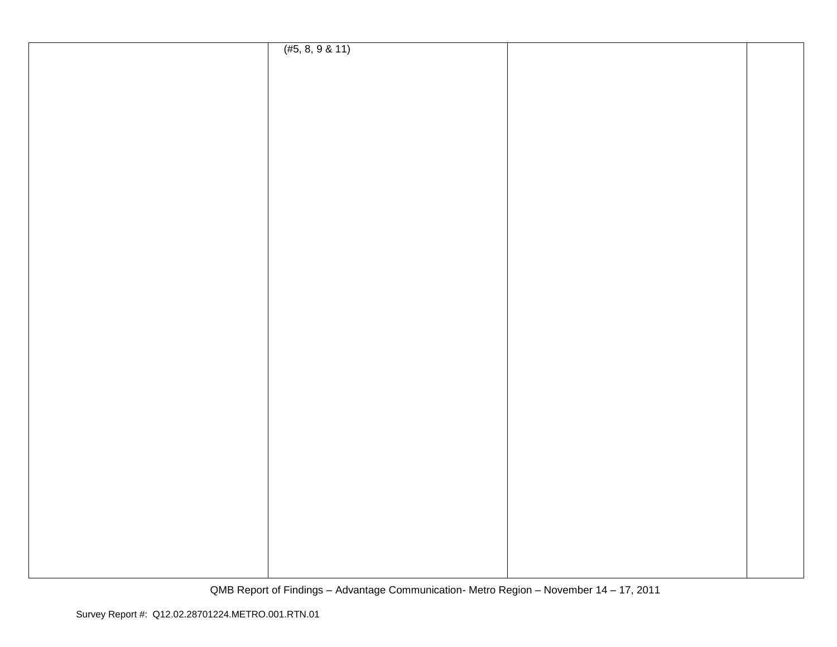| (#5, 8, 9 & 11) |  |
|-----------------|--|
|                 |  |
|                 |  |
|                 |  |
|                 |  |
|                 |  |
|                 |  |
|                 |  |
|                 |  |
|                 |  |
|                 |  |
|                 |  |
|                 |  |
|                 |  |
|                 |  |
|                 |  |
|                 |  |
|                 |  |
|                 |  |
|                 |  |
|                 |  |
|                 |  |
|                 |  |
|                 |  |
|                 |  |
|                 |  |
|                 |  |
|                 |  |
|                 |  |
|                 |  |
|                 |  |
|                 |  |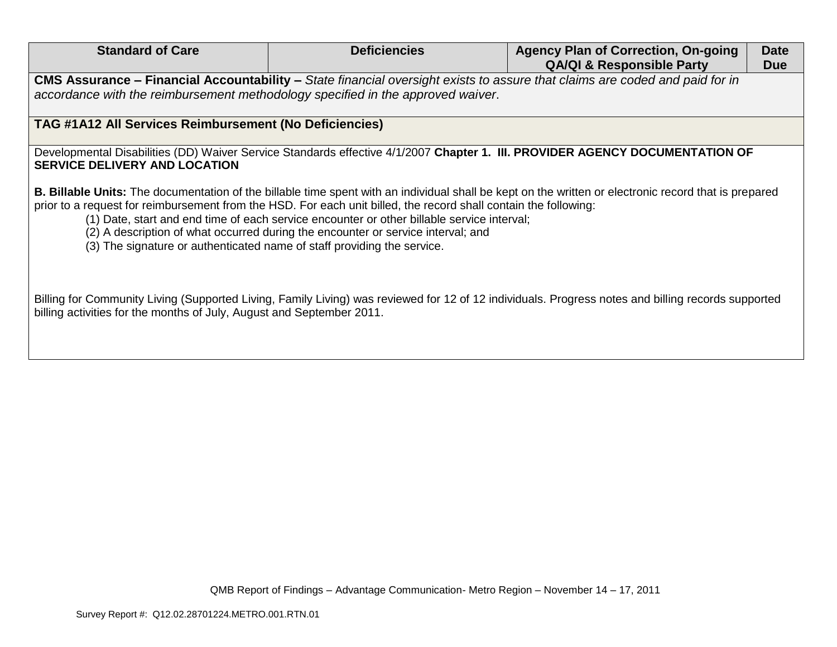| <b>Standard of Care</b>                                                                                                                                                                                                                                                                                                                                                                                                                                                                                                                       | <b>Deficiencies</b> | <b>Agency Plan of Correction, On-going</b> | <b>Date</b> |
|-----------------------------------------------------------------------------------------------------------------------------------------------------------------------------------------------------------------------------------------------------------------------------------------------------------------------------------------------------------------------------------------------------------------------------------------------------------------------------------------------------------------------------------------------|---------------------|--------------------------------------------|-------------|
|                                                                                                                                                                                                                                                                                                                                                                                                                                                                                                                                               |                     | <b>QA/QI &amp; Responsible Party</b>       | <b>Due</b>  |
| CMS Assurance - Financial Accountability - State financial oversight exists to assure that claims are coded and paid for in<br>accordance with the reimbursement methodology specified in the approved waiver.                                                                                                                                                                                                                                                                                                                                |                     |                                            |             |
| <b>TAG #1A12 All Services Reimbursement (No Deficiencies)</b>                                                                                                                                                                                                                                                                                                                                                                                                                                                                                 |                     |                                            |             |
| Developmental Disabilities (DD) Waiver Service Standards effective 4/1/2007 Chapter 1. III. PROVIDER AGENCY DOCUMENTATION OF<br><b>SERVICE DELIVERY AND LOCATION</b>                                                                                                                                                                                                                                                                                                                                                                          |                     |                                            |             |
| <b>B. Billable Units:</b> The documentation of the billable time spent with an individual shall be kept on the written or electronic record that is prepared<br>prior to a request for reimbursement from the HSD. For each unit billed, the record shall contain the following:<br>(1) Date, start and end time of each service encounter or other billable service interval;<br>(2) A description of what occurred during the encounter or service interval; and<br>(3) The signature or authenticated name of staff providing the service. |                     |                                            |             |
| Billing for Community Living (Supported Living, Family Living) was reviewed for 12 of 12 individuals. Progress notes and billing records supported<br>billing activities for the months of July, August and September 2011.                                                                                                                                                                                                                                                                                                                   |                     |                                            |             |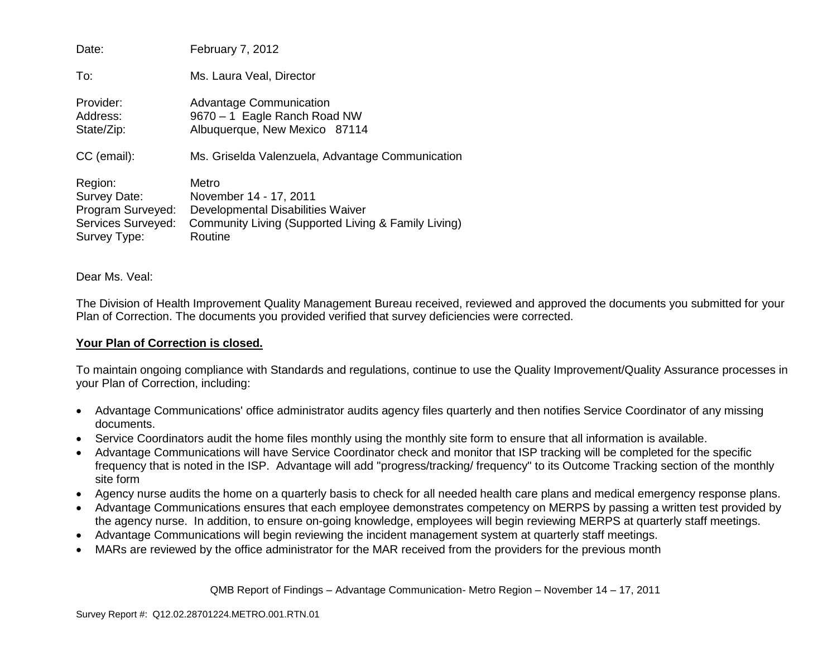| Date:                                                                              | February 7, 2012                                                                                                                       |
|------------------------------------------------------------------------------------|----------------------------------------------------------------------------------------------------------------------------------------|
| To:                                                                                | Ms. Laura Veal, Director                                                                                                               |
| Provider:<br>Address:<br>State/Zip:                                                | <b>Advantage Communication</b><br>9670 - 1 Eagle Ranch Road NW<br>Albuquerque, New Mexico 87114                                        |
| CC (email):                                                                        | Ms. Griselda Valenzuela, Advantage Communication                                                                                       |
| Region:<br>Survey Date:<br>Program Surveyed:<br>Services Surveyed:<br>Survey Type: | Metro<br>November 14 - 17, 2011<br>Developmental Disabilities Waiver<br>Community Living (Supported Living & Family Living)<br>Routine |

Dear Ms. Veal:

The Division of Health Improvement Quality Management Bureau received, reviewed and approved the documents you submitted for your Plan of Correction. The documents you provided verified that survey deficiencies were corrected.

## **Your Plan of Correction is closed.**

To maintain ongoing compliance with Standards and regulations, continue to use the Quality Improvement/Quality Assurance processes in your Plan of Correction, including:

- Advantage Communications' office administrator audits agency files quarterly and then notifies Service Coordinator of any missing documents.
- Service Coordinators audit the home files monthly using the monthly site form to ensure that all information is available.
- Advantage Communications will have Service Coordinator check and monitor that ISP tracking will be completed for the specific frequency that is noted in the ISP. Advantage will add "progress/tracking/ frequency" to its Outcome Tracking section of the monthly site form
- Agency nurse audits the home on a quarterly basis to check for all needed health care plans and medical emergency response plans.
- Advantage Communications ensures that each employee demonstrates competency on MERPS by passing a written test provided by the agency nurse. In addition, to ensure on-going knowledge, employees will begin reviewing MERPS at quarterly staff meetings.
- Advantage Communications will begin reviewing the incident management system at quarterly staff meetings.
- MARs are reviewed by the office administrator for the MAR received from the providers for the previous month